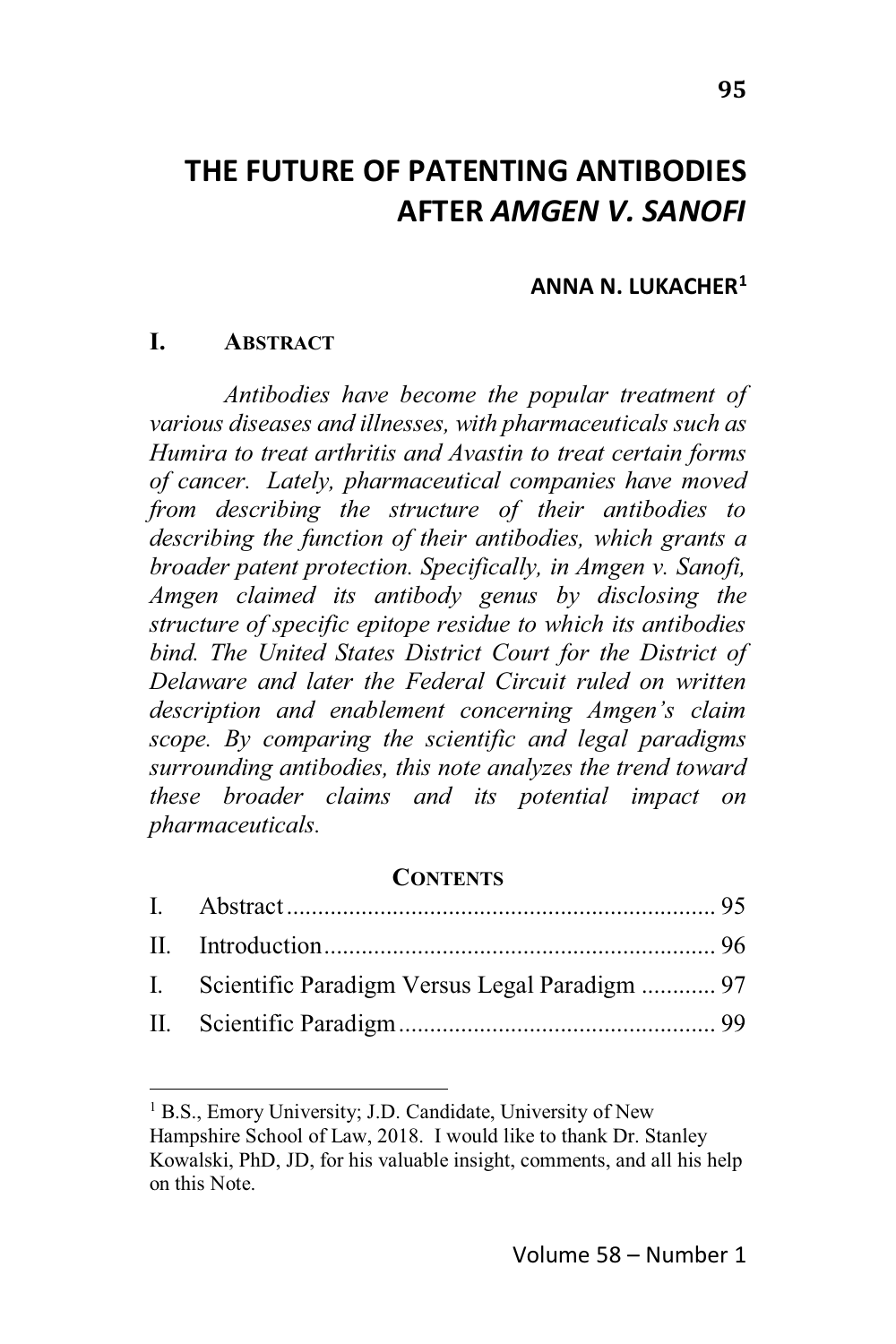# THE FUTURE OF PATENTING ANTIRODIES **AFTER AMGEN V. SANOFI**

#### ANNA N. LUKACHER<sup>1</sup>

#### L **ABSTRACT**

Antibodies have become the popular treatment of various diseases and illnesses, with pharmaceuticals such as Humira to treat arthritis and Avastin to treat certain forms of cancer. Lately, pharmaceutical companies have moved from describing the structure of their antibodies to describing the function of their antibodies, which grants a broader patent protection. Specifically, in Amgen v. Sanofi, Amgen claimed its antibody genus by disclosing the structure of specific epitope residue to which its antibodies bind. The United States District Court for the District of Delaware and later the Federal Circuit ruled on written description and enablement concerning Amgen's claim scope. By comparing the scientific and legal paradigms surrounding antibodies, this note analyzes the trend toward these broader claims and its potential impact on pharmaceuticals.

#### **CONTENTS**

| I. Scientific Paradigm Versus Legal Paradigm  97 |  |
|--------------------------------------------------|--|
|                                                  |  |

<sup>&</sup>lt;sup>1</sup> B.S., Emory University; J.D. Candidate, University of New Hampshire School of Law, 2018. I would like to thank Dr. Stanley Kowalski, PhD, JD, for his valuable insight, comments, and all his help on this Note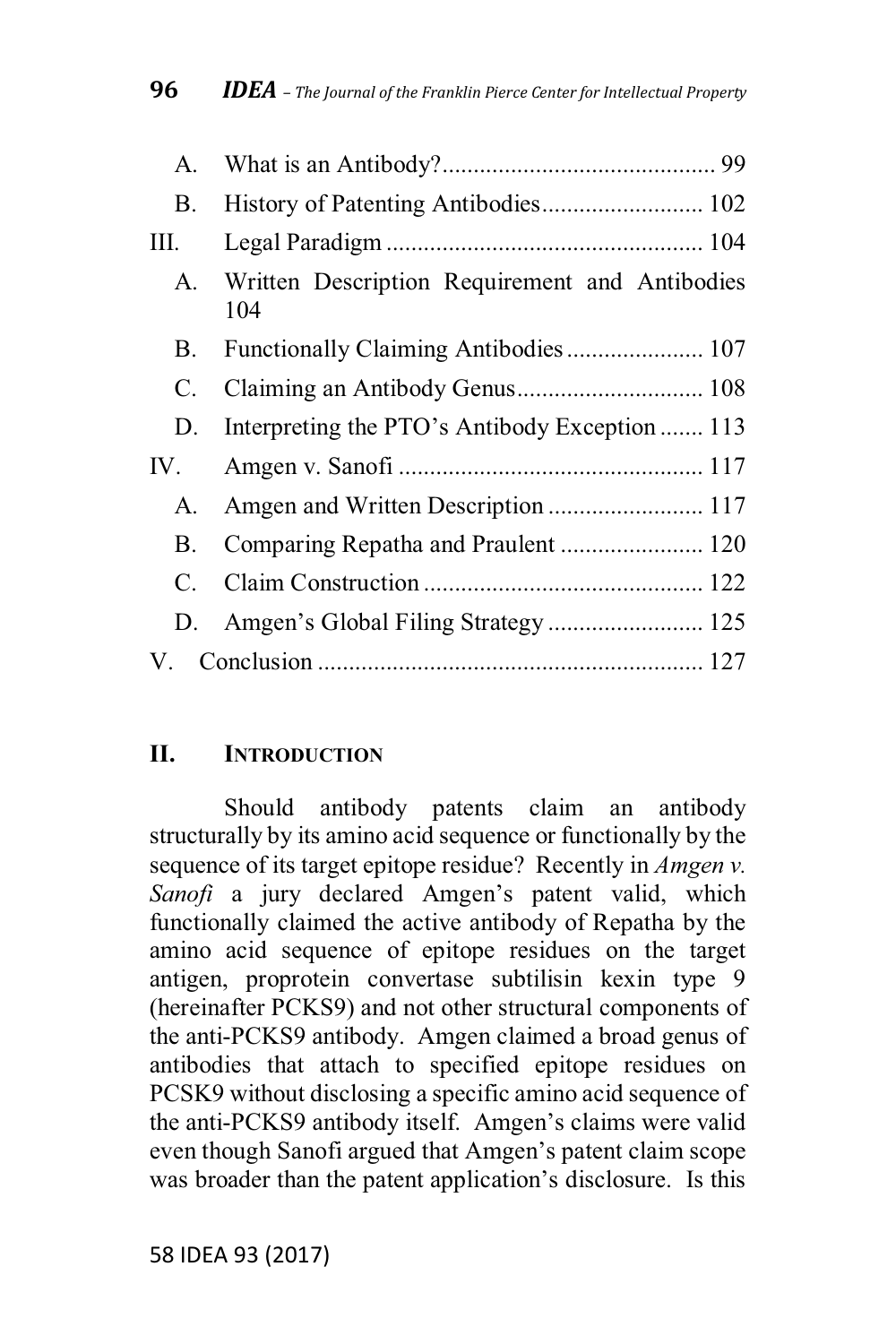| A.   |                                                       |  |
|------|-------------------------------------------------------|--|
| В.   |                                                       |  |
| III. |                                                       |  |
| A.   | Written Description Requirement and Antibodies<br>104 |  |
| В.   | Functionally Claiming Antibodies 107                  |  |
| C.   |                                                       |  |
| D.   | Interpreting the PTO's Antibody Exception  113        |  |
| IV.  |                                                       |  |
| A.   |                                                       |  |
| В.   |                                                       |  |
| C.   |                                                       |  |
|      |                                                       |  |
|      |                                                       |  |

#### П. **INTRODUCTION**

Should antibody patents claim an antibody structurally by its amino acid sequence or functionally by the sequence of its target epitope residue? Recently in *Amgen v*. Sanofi a jury declared Amgen's patent valid, which functionally claimed the active antibody of Repatha by the amino acid sequence of epitope residues on the target antigen, proprotein convertase subtilisin kexin type 9 (hereinafter PCKS9) and not other structural components of the anti-PCKS9 antibody. Amgen claimed a broad genus of antibodies that attach to specified epitope residues on PCSK9 without disclosing a specific amino acid sequence of the anti-PCKS9 antibody itself. Amgen's claims were valid even though Sanofi argued that Amgen's patent claim scope was broader than the patent application's disclosure. Is this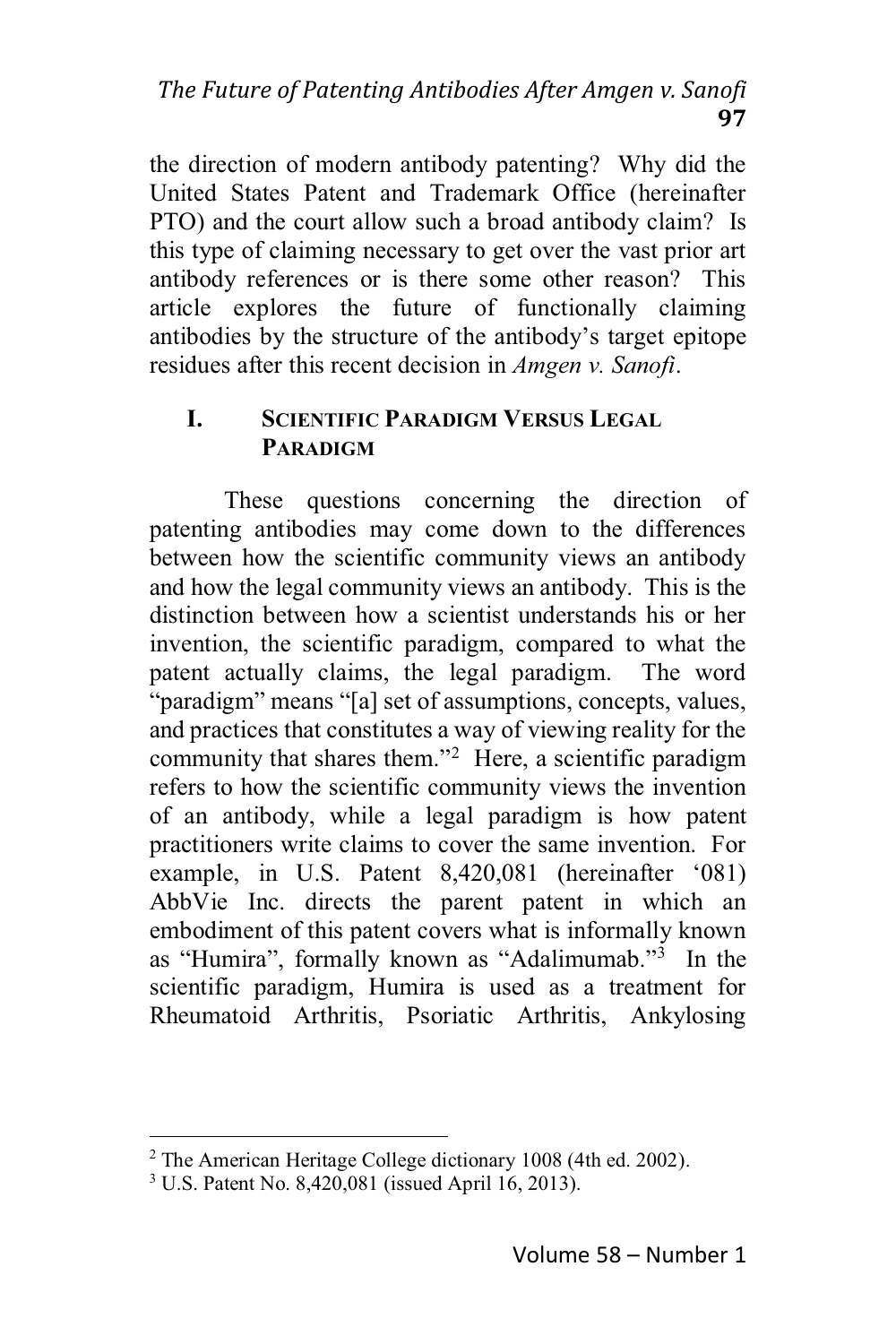the direction of modern antibody patenting? Why did the United States Patent and Trademark Office (hereinafter PTO) and the court allow such a broad antibody claim? Is this type of claiming necessary to get over the vast prior art antibody references or is there some other reason? This article explores the future of functionally claiming antibodies by the structure of the antibody's target epitope residues after this recent decision in *Amgen v. Sanofi*.

#### **SCIENTIFIC PARADIGM VERSUS LEGAL**  $\mathbf{I}$ **PARADIGM**

These questions concerning the direction of patenting antibodies may come down to the differences between how the scientific community views an antibody and how the legal community views an antibody. This is the distinction between how a scientist understands his or her invention, the scientific paradigm, compared to what the patent actually claims, the legal paradigm. The word "paradigm" means "[a] set of assumptions, concepts, values, and practices that constitutes a way of viewing reality for the community that shares them."<sup>2</sup> Here, a scientific paradigm refers to how the scientific community views the invention of an antibody, while a legal paradigm is how patent practitioners write claims to cover the same invention. For example, in U.S. Patent 8,420,081 (hereinafter '081) AbbVie Inc. directs the parent patent in which an embodiment of this patent covers what is informally known as "Humira", formally known as "Adalimumab."<sup>3</sup> In the scientific paradigm, Humira is used as a treatment for Rheumatoid Arthritis, Psoriatic Arthritis, Ankylosing

<sup>&</sup>lt;sup>2</sup> The American Heritage College dictionary 1008 (4th ed. 2002).

<sup>&</sup>lt;sup>3</sup> U.S. Patent No. 8,420,081 (issued April 16, 2013).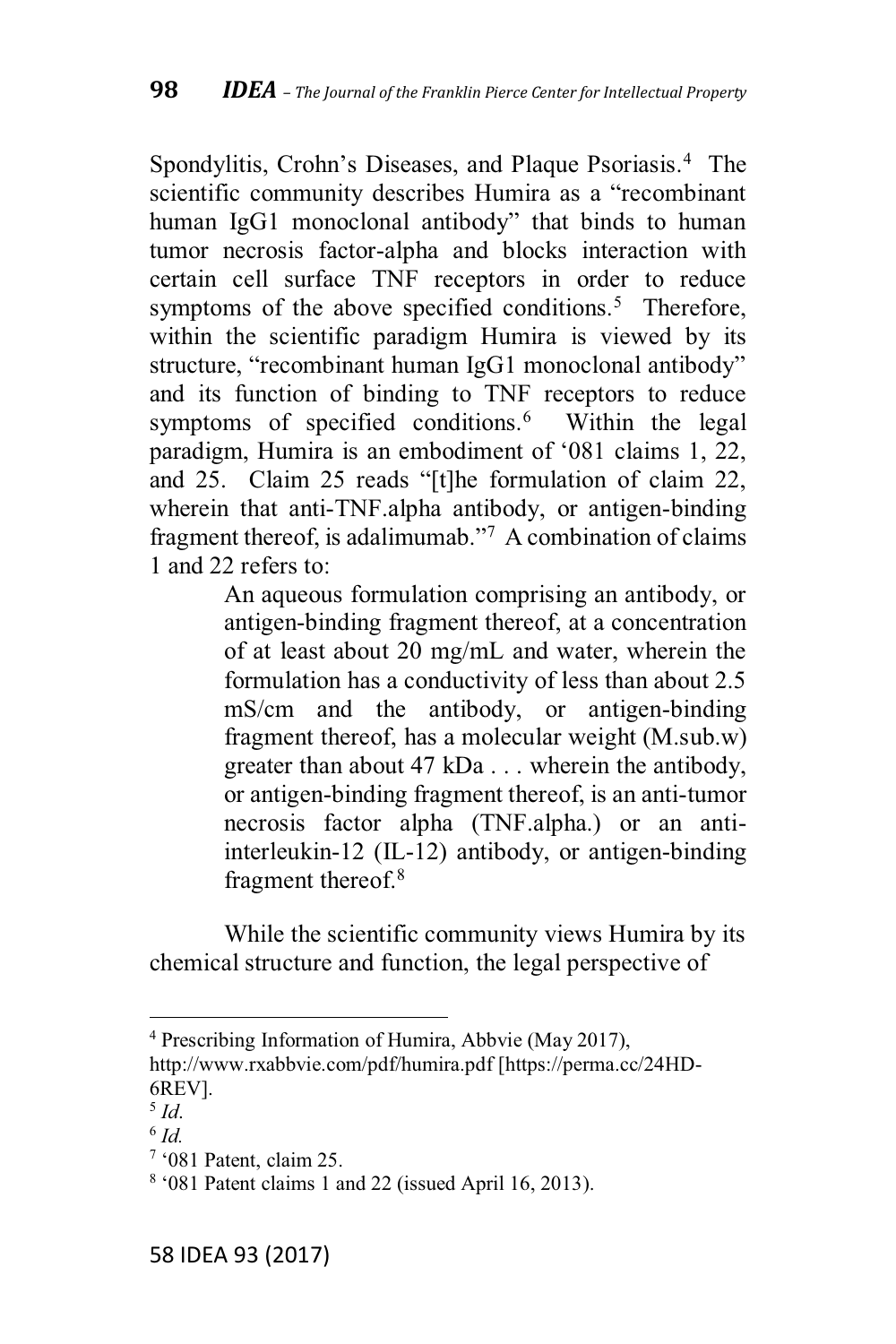Spondylitis, Crohn's Diseases, and Plaque Psoriasis.<sup>4</sup> The scientific community describes Humira as a "recombinant human IgG1 monoclonal antibody" that binds to human tumor necrosis factor-alpha and blocks interaction with certain cell surface TNF receptors in order to reduce symptoms of the above specified conditions.<sup>5</sup> Therefore, within the scientific paradigm Humira is viewed by its structure, "recombinant human IgG1 monoclonal antibody" and its function of binding to TNF receptors to reduce symptoms of specified conditions.<sup>6</sup> Within the legal paradigm. Humira is an embodiment of '081 claims 1, 22. and 25. Claim 25 reads "[t] he formulation of claim  $22$ , wherein that anti-TNF.alpha antibody, or antigen-binding fragment thereof, is adalimumab."<sup>7</sup> A combination of claims 1 and 22 refers to:

> An aqueous formulation comprising an antibody, or antigen-binding fragment thereof, at a concentration of at least about 20 mg/mL and water, wherein the formulation has a conductivity of less than about 2.5 mS/cm and the antibody, or antigen-binding fragment thereof, has a molecular weight (M.sub.w) greater than about 47 kDa ... wherein the antibody, or antigen-binding fragment thereof, is an anti-tumor necrosis factor alpha (TNF.alpha.) or an antiinterleukin-12 (IL-12) antibody, or antigen-binding fragment thereof.8

While the scientific community views Humira by its chemical structure and function, the legal perspective of

<sup>4</sup> Prescribing Information of Humira, Abbvie (May 2017),

http://www.rxabbvie.com/pdf/humira.pdf [https://perma.cc/24HD-6REV].

<sup>5</sup> *Id*.

<sup>6</sup> *Id.*

 $7$  '081 Patent, claim 25.

 $8 \cdot 081$  Patent claims 1 and 22 (issued April 16, 2013).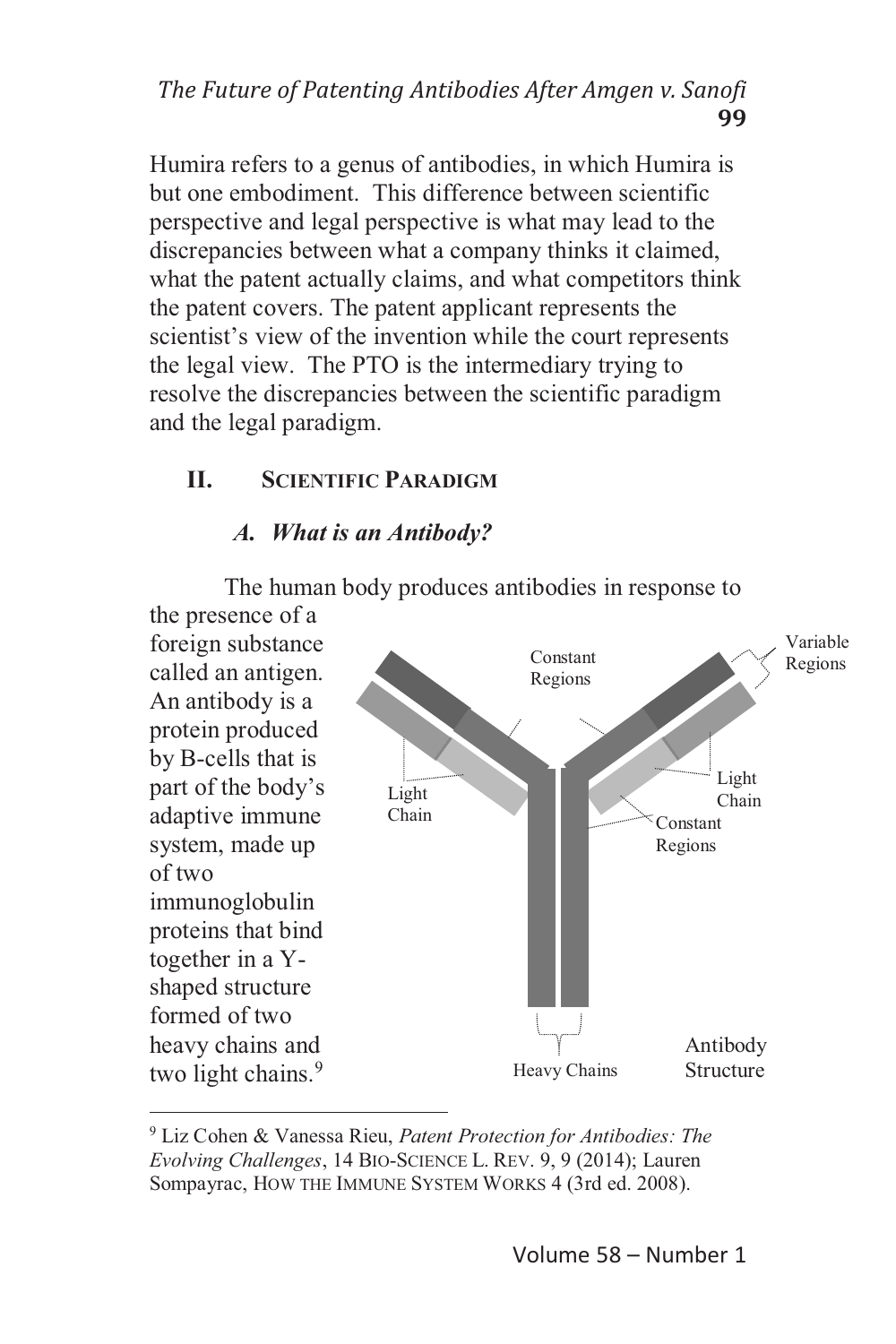## *The Future of Patenting Antibodies After Amgen v. Sanofi* **99**

Humira refers to a genus of antibodies, in which Humira is but one embodiment. This difference between scientific perspective and legal perspective is what may lead to the discrepancies between what a company thinks it claimed, what the patent actually claims, and what competitors think the patent covers. The patent applicant represents the scientist's view of the invention while the court represents the legal view. The PTO is the intermediary trying to resolve the discrepancies between the scientific paradigm and the legal paradigm.

## **II. SCIENTIFIC PARADIGM**

## *A. What is an Antibody?*

The human body produces antibodies in response to



<sup>9</sup> Liz Cohen & Vanessa Rieu, *Patent Protection for Antibodies: The Evolving Challenges*, 14 BIO-SCIENCE L. REV. 9, 9 (2014); Lauren Sompayrac, HOW THE IMMUNE SYSTEM WORKS 4 (3rd ed. 2008).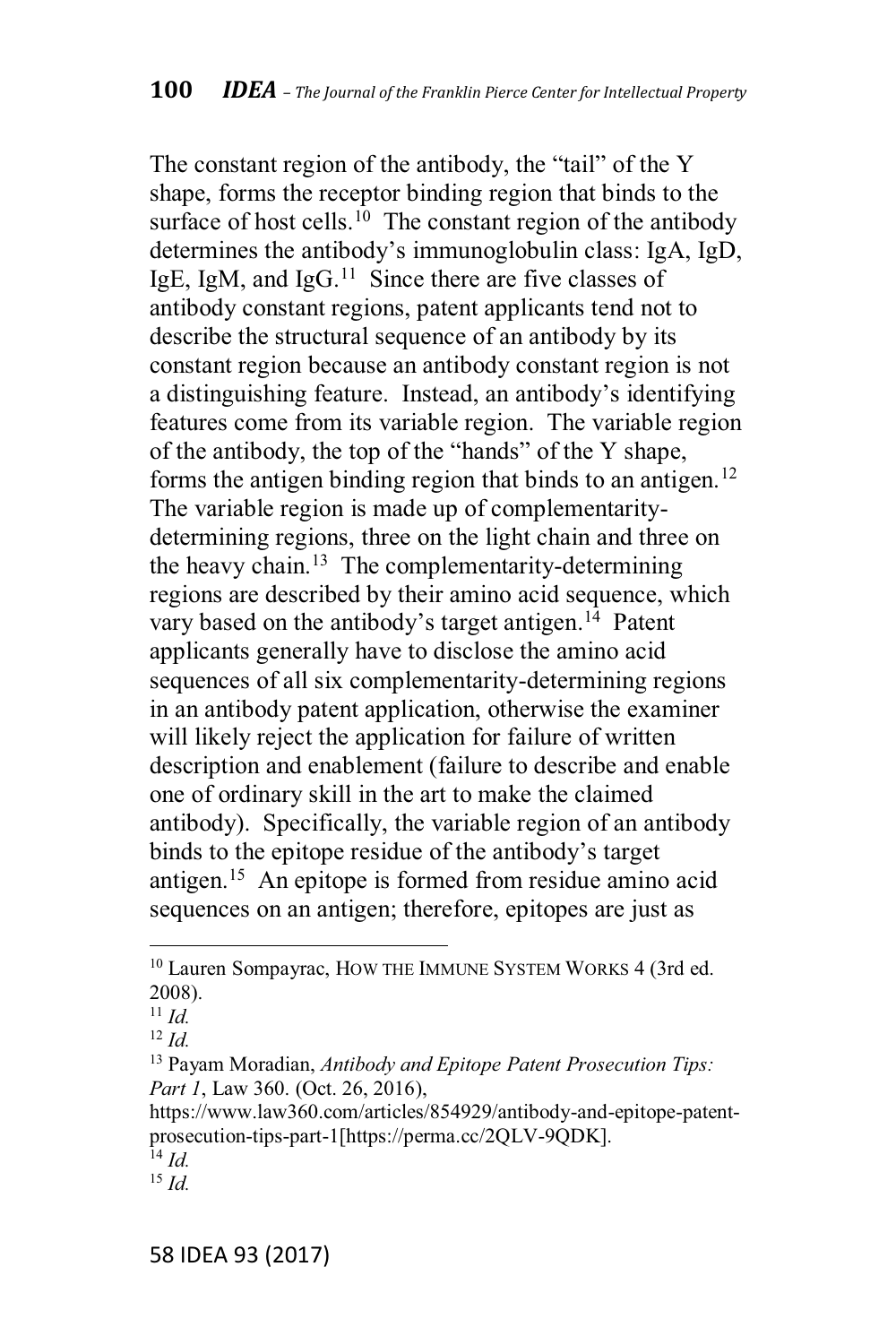The constant region of the antibody, the "tail" of the Y shape, forms the receptor binding region that binds to the surface of host cells.<sup>10</sup> The constant region of the antibody determines the antibody's immunoglobulin class: IgA, IgD, IgE, IgM, and IgG.<sup>11</sup> Since there are five classes of antibody constant regions, patent applicants tend not to describe the structural sequence of an antibody by its constant region because an antibody constant region is not a distinguishing feature. Instead, an antibody's identifying features come from its variable region. The variable region of the antibody, the top of the "hands" of the Y shape, forms the antigen binding region that binds to an antigen.<sup>12</sup> The variable region is made up of complementaritydetermining regions, three on the light chain and three on the heavy chain.<sup>13</sup> The complementarity-determining regions are described by their amino acid sequence, which vary based on the antibody's target antigen.<sup>14</sup> Patent applicants generally have to disclose the amino acid sequences of all six complementarity-determining regions in an antibody patent application, otherwise the examiner will likely reject the application for failure of written description and enablement (failure to describe and enable one of ordinary skill in the art to make the claimed antibody). Specifically, the variable region of an antibody binds to the epitope residue of the antibody's target antigen.<sup>15</sup> An epitope is formed from residue amino acid sequences on an antigen; therefore, epitopes are just as

<sup>&</sup>lt;sup>10</sup> Lauren Sompayrac, HOW THE IMMUNE SYSTEM WORKS 4 (3rd ed. 2008).

 $^{11}$  Id.

 $^{12}$  Id.

<sup>&</sup>lt;sup>13</sup> Payam Moradian, Antibody and Epitope Patent Prosecution Tips: Part 1, Law 360. (Oct. 26, 2016),

https://www.law360.com/articles/854929/antibody-and-epitope-patentprosecution-tips-part-1[https://perma.cc/2QLV-9QDK].

 $\overline{1}$ <sup>4</sup> Id.

<sup>&</sup>lt;sup>15</sup>  $Id$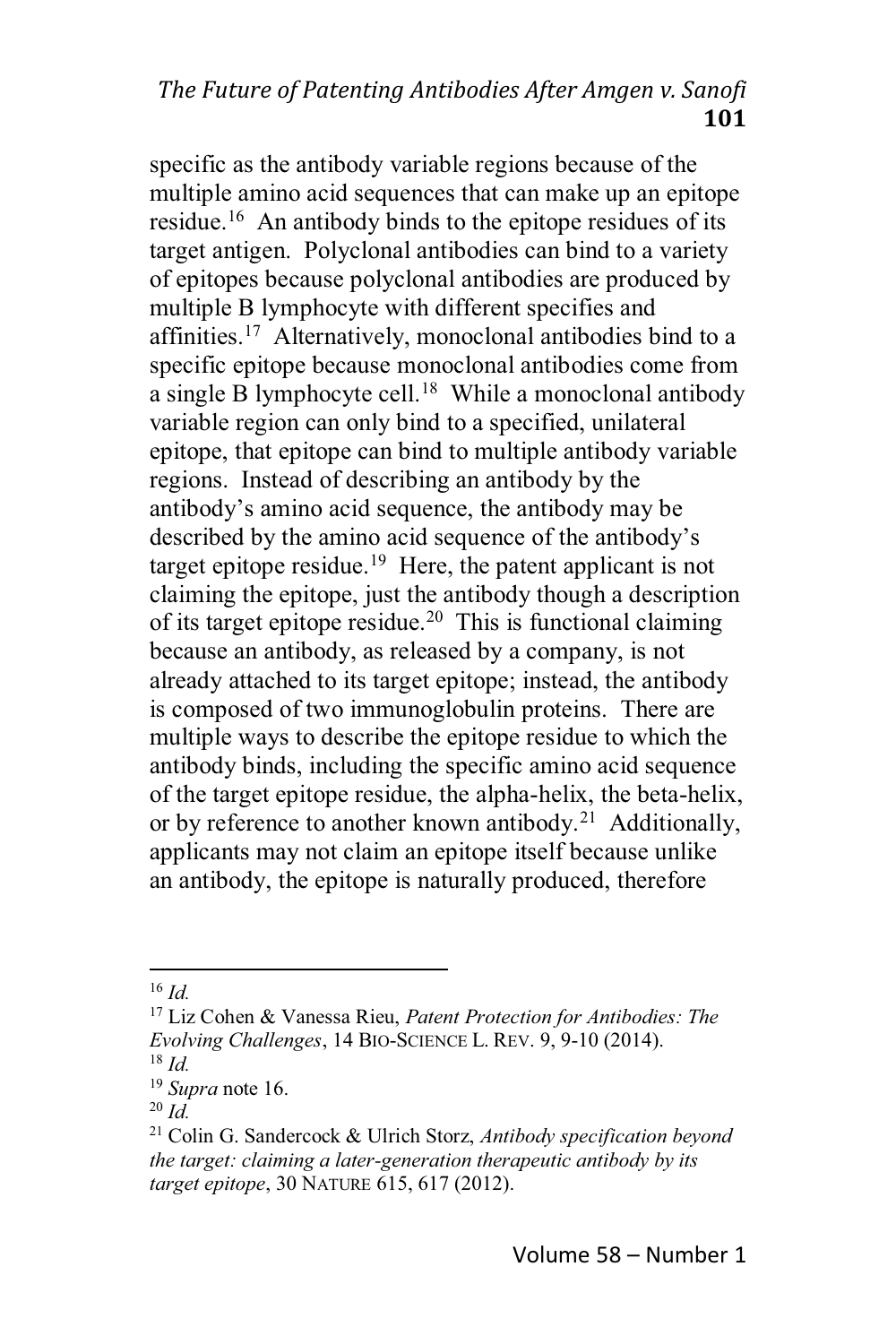## *The Future of Patenting Antibodies After Amgen v. Sanofi* **101**

specific as the antibody variable regions because of the multiple amino acid sequences that can make up an epitope residue.16 An antibody binds to the epitope residues of its target antigen. Polyclonal antibodies can bind to a variety of epitopes because polyclonal antibodies are produced by multiple B lymphocyte with different specifies and affinities.<sup>17</sup> Alternatively, monoclonal antibodies bind to a specific epitope because monoclonal antibodies come from a single B lymphocyte cell.<sup>18</sup> While a monoclonal antibody variable region can only bind to a specified, unilateral epitope, that epitope can bind to multiple antibody variable regions. Instead of describing an antibody by the antibody's amino acid sequence, the antibody may be described by the amino acid sequence of the antibody's target epitope residue.<sup>19</sup> Here, the patent applicant is not claiming the epitope, just the antibody though a description of its target epitope residue.<sup>20</sup> This is functional claiming because an antibody, as released by a company, is not already attached to its target epitope; instead, the antibody is composed of two immunoglobulin proteins. There are multiple ways to describe the epitope residue to which the antibody binds, including the specific amino acid sequence of the target epitope residue, the alpha-helix, the beta-helix, or by reference to another known antibody.<sup>21</sup> Additionally, applicants may not claim an epitope itself because unlike an antibody, the epitope is naturally produced, therefore

<sup>16</sup> *Id.*

<sup>17</sup> Liz Cohen & Vanessa Rieu, *Patent Protection for Antibodies: The Evolving Challenges*, 14 BIO-SCIENCE L. REV. 9, 9-10 (2014). <sup>18</sup> *Id.*

<sup>19</sup> *Supra* note 16.

<sup>20</sup> *Id.*

<sup>21</sup> Colin G. Sandercock & Ulrich Storz, *Antibody specification beyond the target: claiming a later-generation therapeutic antibody by its target epitope*, 30 NATURE 615, 617 (2012).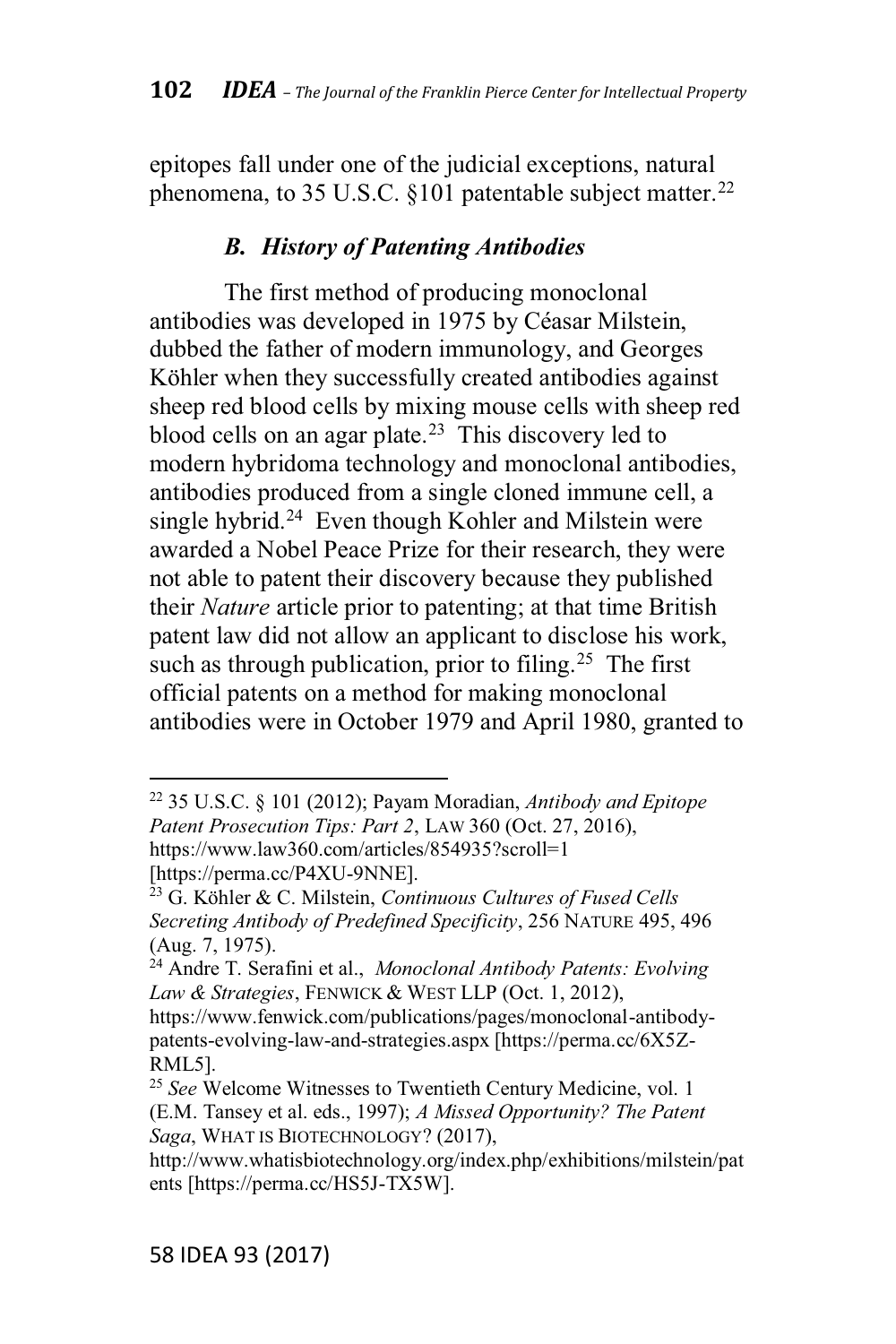epitopes fall under one of the judicial exceptions, natural phenomena, to 35 U.S.C. §101 patentable subject matter.<sup>22</sup>

### *B. History of Patenting Antibodies*

The first method of producing monoclonal antibodies was developed in 1975 by Céasar Milstein, dubbed the father of modern immunology, and Georges Köhler when they successfully created antibodies against sheep red blood cells by mixing mouse cells with sheep red blood cells on an agar plate.<sup>23</sup> This discovery led to modern hybridoma technology and monoclonal antibodies, antibodies produced from a single cloned immune cell, a single hybrid.<sup>24</sup> Even though Kohler and Milstein were awarded a Nobel Peace Prize for their research, they were not able to patent their discovery because they published their *Nature* article prior to patenting; at that time British patent law did not allow an applicant to disclose his work, such as through publication, prior to filing.<sup>25</sup> The first official patents on a method for making monoclonal antibodies were in October 1979 and April 1980, granted to

<sup>22</sup> 35 U.S.C. § 101 (2012); Payam Moradian, *Antibody and Epitope Patent Prosecution Tips: Part 2*, LAW 360 (Oct. 27, 2016), https://www.law360.com/articles/854935?scroll=1 [https://perma.cc/P4XU-9NNE].

<sup>23</sup> G. Köhler & C. Milstein, *Continuous Cultures of Fused Cells Secreting Antibody of Predefined Specificity*, 256 NATURE 495, 496 (Aug. 7, 1975).

<sup>24</sup> Andre T. Serafini et al., *Monoclonal Antibody Patents: Evolving Law & Strategies*, FENWICK & WEST LLP (Oct. 1, 2012),

https://www.fenwick.com/publications/pages/monoclonal-antibodypatents-evolving-law-and-strategies.aspx [https://perma.cc/6X5Z-RML5].

<sup>25</sup> *See* Welcome Witnesses to Twentieth Century Medicine, vol. 1 (E.M. Tansey et al. eds., 1997); *A Missed Opportunity? The Patent Saga*, WHAT IS BIOTECHNOLOGY? (2017),

http://www.whatisbiotechnology.org/index.php/exhibitions/milstein/pat ents [https://perma.cc/HS5J-TX5W].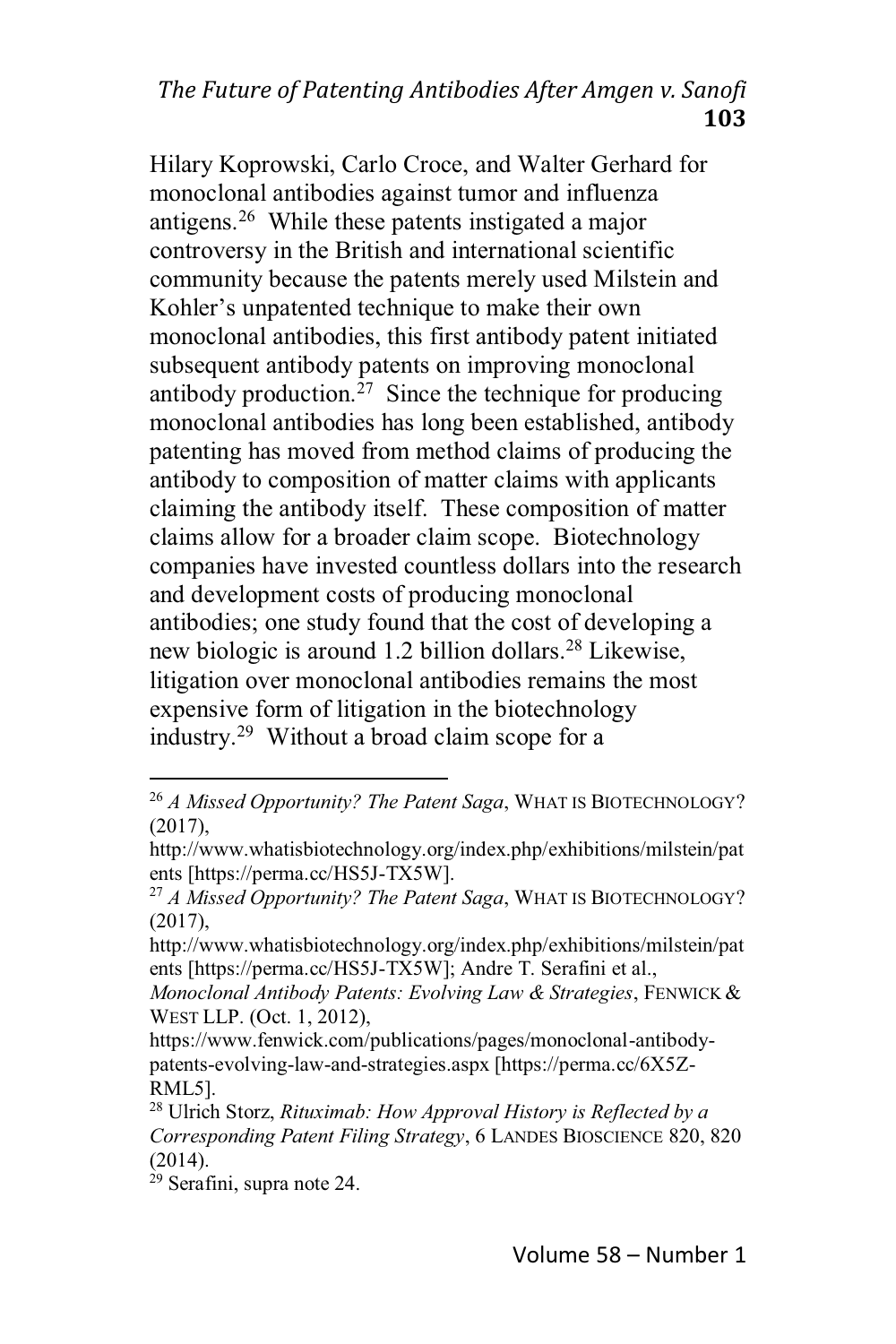## *The Future of Patenting Antibodies After Amgen v. Sanofi* **103**

Hilary Koprowski, Carlo Croce, and Walter Gerhard for monoclonal antibodies against tumor and influenza antigens.26 While these patents instigated a major controversy in the British and international scientific community because the patents merely used Milstein and Kohler's unpatented technique to make their own monoclonal antibodies, this first antibody patent initiated subsequent antibody patents on improving monoclonal antibody production.<sup>27</sup> Since the technique for producing monoclonal antibodies has long been established, antibody patenting has moved from method claims of producing the antibody to composition of matter claims with applicants claiming the antibody itself. These composition of matter claims allow for a broader claim scope. Biotechnology companies have invested countless dollars into the research and development costs of producing monoclonal antibodies; one study found that the cost of developing a new biologic is around 1.2 billion dollars.28 Likewise, litigation over monoclonal antibodies remains the most expensive form of litigation in the biotechnology industry.29 Without a broad claim scope for a

<sup>26</sup> *A Missed Opportunity? The Patent Saga*, WHAT IS BIOTECHNOLOGY? (2017),

http://www.whatisbiotechnology.org/index.php/exhibitions/milstein/pat ents [https://perma.cc/HS5J-TX5W].

<sup>27</sup> *A Missed Opportunity? The Patent Saga*, WHAT IS BIOTECHNOLOGY? (2017),

http://www.whatisbiotechnology.org/index.php/exhibitions/milstein/pat ents [https://perma.cc/HS5J-TX5W]; Andre T. Serafini et al.,

*Monoclonal Antibody Patents: Evolving Law & Strategies*, FENWICK & WEST LLP. (Oct. 1, 2012),

https://www.fenwick.com/publications/pages/monoclonal-antibodypatents-evolving-law-and-strategies.aspx [https://perma.cc/6X5Z-RML5].

<sup>28</sup> Ulrich Storz, *Rituximab: How Approval History is Reflected by a Corresponding Patent Filing Strategy*,6LANDES BIOSCIENCE 820, 820 (2014).

<sup>29</sup> Serafini, supra note 24.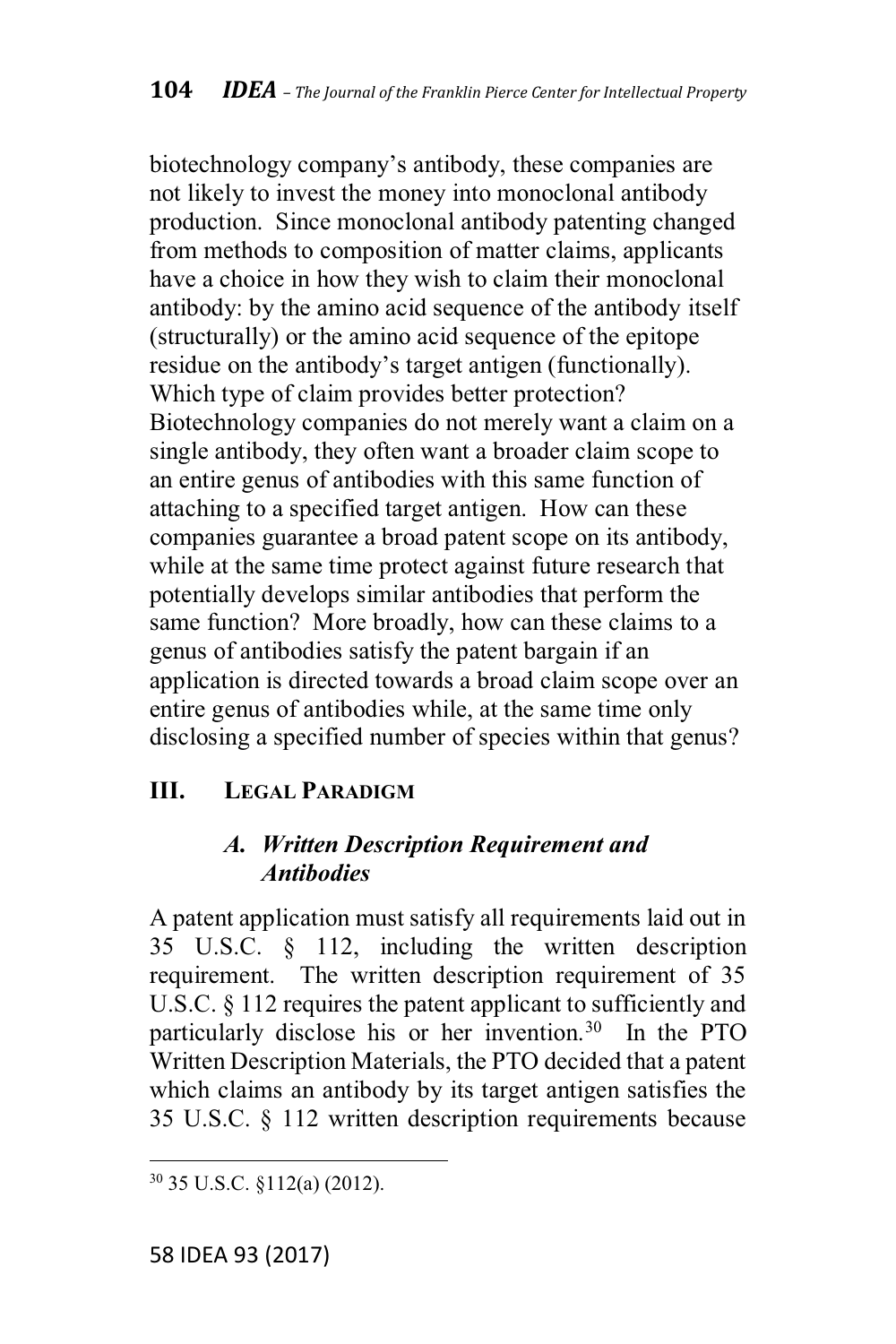biotechnology company's antibody, these companies are not likely to invest the money into monoclonal antibody production. Since monoclonal antibody patenting changed from methods to composition of matter claims, applicants have a choice in how they wish to claim their monoclonal antibody: by the amino acid sequence of the antibody itself (structurally) or the amino acid sequence of the epitope residue on the antibody's target antigen (functionally). Which type of claim provides better protection? Biotechnology companies do not merely want a claim on a single antibody, they often want a broader claim scope to an entire genus of antibodies with this same function of attaching to a specified target antigen. How can these companies guarantee a broad patent scope on its antibody, while at the same time protect against future research that potentially develops similar antibodies that perform the same function? More broadly, how can these claims to a genus of antibodies satisfy the patent bargain if an application is directed towards a broad claim scope over an entire genus of antibodies while, at the same time only disclosing a specified number of species within that genus?

## **III. LEGAL PARADIGM**

## *A. Written Description Requirement and Antibodies*

A patent application must satisfy all requirements laid out in 35 U.S.C. § 112, including the written description requirement. The written description requirement of 35 U.S.C. § 112 requires the patent applicant to sufficiently and particularly disclose his or her invention.30 In the PTO Written Description Materials, the PTO decided that a patent which claims an antibody by its target antigen satisfies the 35 U.S.C. § 112 written description requirements because

<sup>30</sup> 35 U.S.C. §112(a) (2012).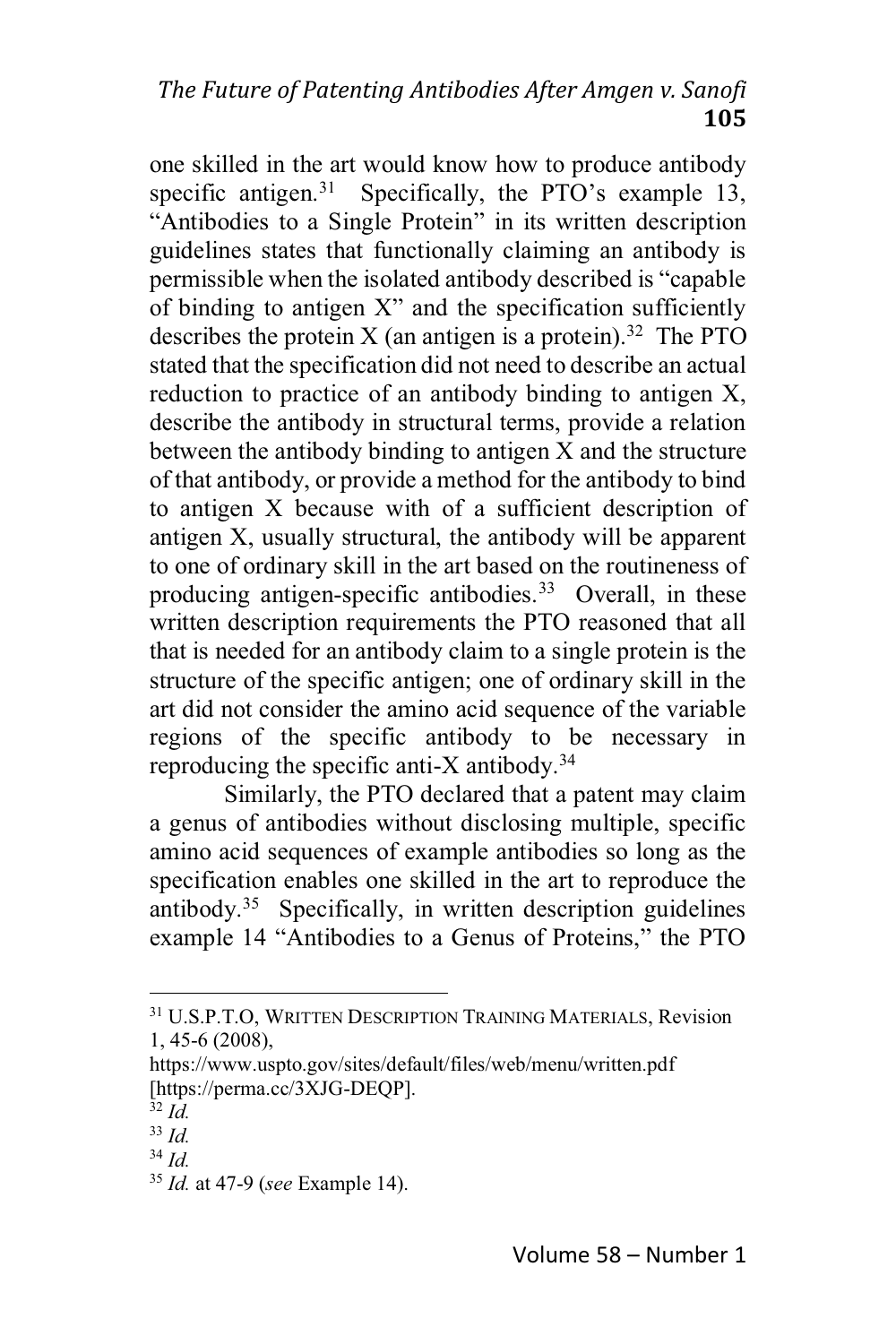## *The Future of Patenting Antibodies After Amgen v. Sanofi* **105**

one skilled in the art would know how to produce antibody specific antigen.<sup>31</sup> Specifically, the PTO's example 13, "Antibodies to a Single Protein" in its written description guidelines states that functionally claiming an antibody is permissible when the isolated antibody described is "capable" of binding to antigen  $X$ " and the specification sufficiently describes the protein  $X$  (an antigen is a protein).<sup>32</sup> The PTO stated that the specification did not need to describe an actual reduction to practice of an antibody binding to antigen X, describe the antibody in structural terms, provide a relation between the antibody binding to antigen X and the structure of that antibody, or provide a method for the antibody to bind to antigen X because with of a sufficient description of antigen X, usually structural, the antibody will be apparent to one of ordinary skill in the art based on the routineness of producing antigen-specific antibodies.<sup>33</sup> Overall, in these written description requirements the PTO reasoned that all that is needed for an antibody claim to a single protein is the structure of the specific antigen; one of ordinary skill in the art did not consider the amino acid sequence of the variable regions of the specific antibody to be necessary in reproducing the specific anti-X antibody. $34$ 

Similarly, the PTO declared that a patent may claim a genus of antibodies without disclosing multiple, specific amino acid sequences of example antibodies so long as the specification enables one skilled in the art to reproduce the antibody.35 Specifically, in written description guidelines example 14 "Antibodies to a Genus of Proteins," the PTO

<sup>&</sup>lt;sup>31</sup> U.S.P.T.O. WRITTEN DESCRIPTION TRAINING MATERIALS, Revision 1, 45-6 (2008),

https://www.uspto.gov/sites/default/files/web/menu/written.pdf [https://perma.cc/3XJG-DEQP].

 $\overline{3}$ <sup>2</sup> *Id*.

<sup>33</sup> *Id.*

<sup>34</sup> *Id.*

<sup>35</sup> *Id.* at 47-9 (*see* Example 14).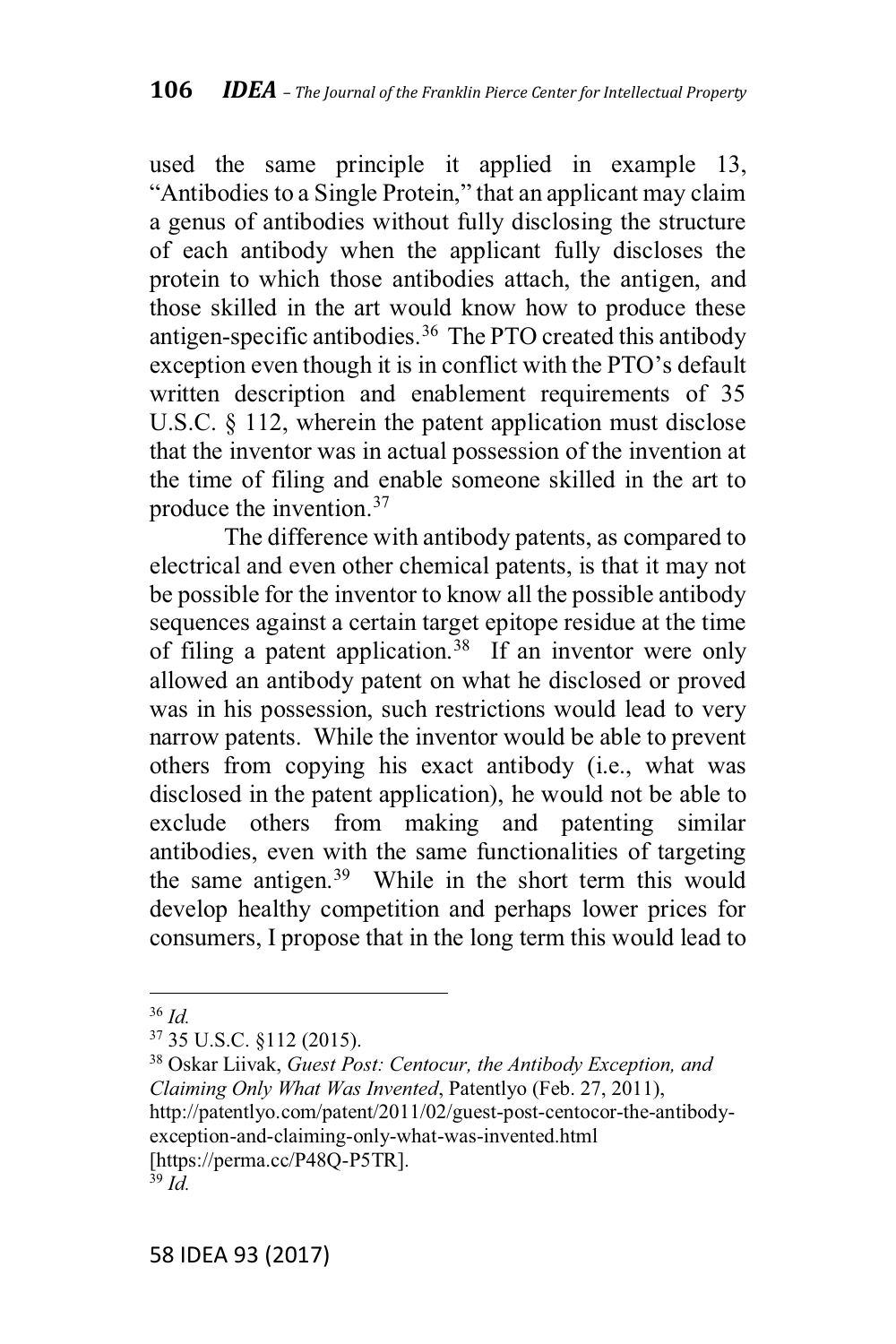used the same principle it applied in example 13, "Antibodies to a Single Protein," that an applicant may claim a genus of antibodies without fully disclosing the structure of each antibody when the applicant fully discloses the protein to which those antibodies attach, the antigen, and those skilled in the art would know how to produce these antigen-specific antibodies.<sup>36</sup> The PTO created this antibody exception even though it is in conflict with the PTO's default written description and enablement requirements of 35 U.S.C. § 112, wherein the patent application must disclose that the inventor was in actual possession of the invention at the time of filing and enable someone skilled in the art to produce the invention.37

The difference with antibody patents, as compared to electrical and even other chemical patents, is that it may not be possible for the inventor to know all the possible antibody sequences against a certain target epitope residue at the time of filing a patent application.<sup>38</sup> If an inventor were only allowed an antibody patent on what he disclosed or proved was in his possession, such restrictions would lead to very narrow patents. While the inventor would be able to prevent others from copying his exact antibody (i.e., what was disclosed in the patent application), he would not be able to exclude others from making and patenting similar antibodies, even with the same functionalities of targeting the same antigen.39 While in the short term this would develop healthy competition and perhaps lower prices for consumers, I propose that in the long term this would lead to

<sup>36</sup> *Id.*

<sup>37</sup> 35 U.S.C. §112 (2015).

<sup>38</sup> Oskar Liivak, *Guest Post: Centocur, the Antibody Exception, and Claiming Only What Was Invented*, Patentlyo (Feb. 27, 2011), http://patentlyo.com/patent/2011/02/guest-post-centocor-the-antibodyexception-and-claiming-only-what-was-invented.html [https://perma.cc/P48Q-P5TR].  $39 \tilde{Id}$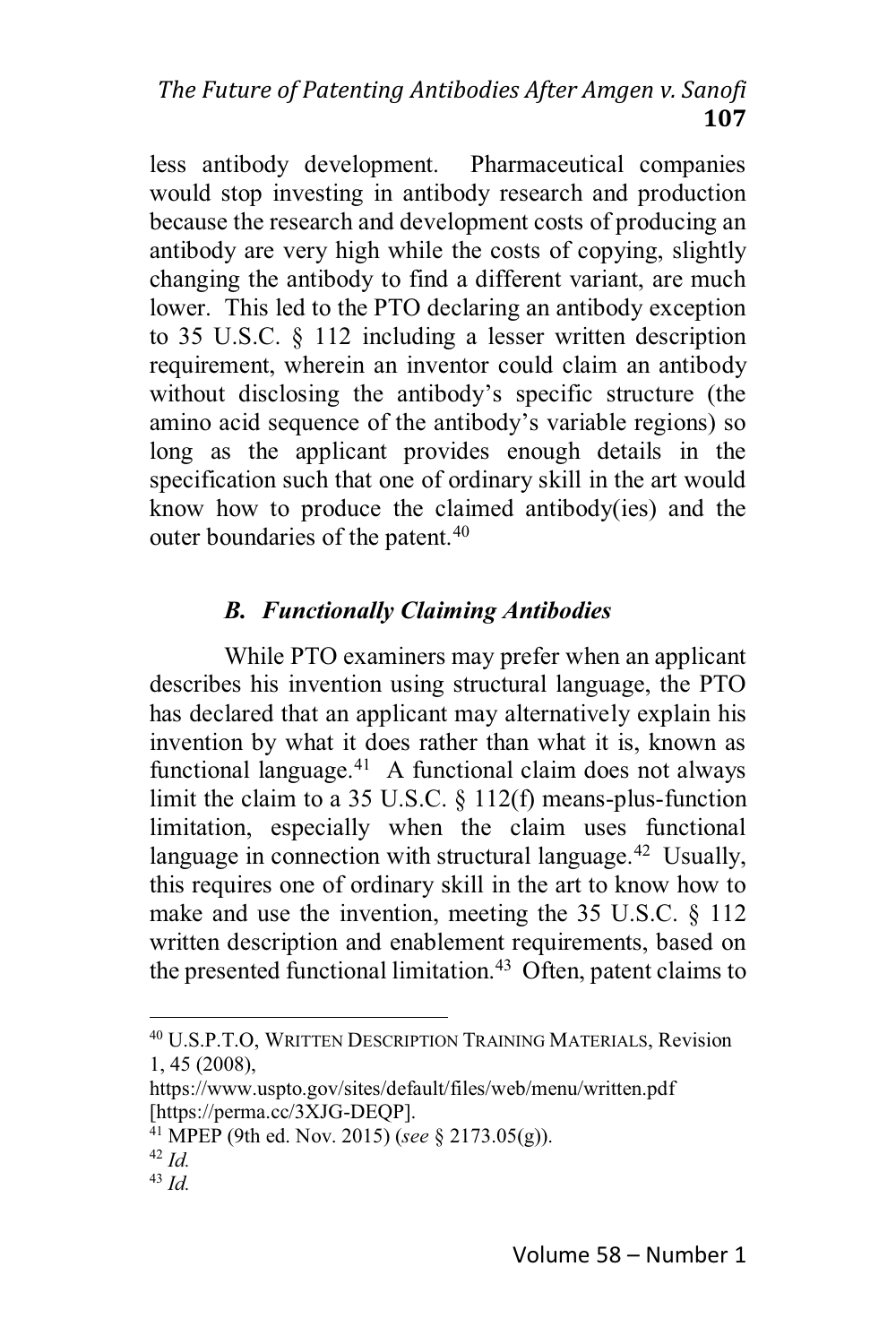## *The Future of Patenting Antibodies After Amgen v. Sanofi* **107**

less antibody development. Pharmaceutical companies would stop investing in antibody research and production because the research and development costs of producing an antibody are very high while the costs of copying, slightly changing the antibody to find a different variant, are much lower. This led to the PTO declaring an antibody exception to 35 U.S.C. § 112 including a lesser written description requirement, wherein an inventor could claim an antibody without disclosing the antibody's specific structure (the amino acid sequence of the antibody's variable regions) so long as the applicant provides enough details in the specification such that one of ordinary skill in the art would know how to produce the claimed antibody(ies) and the outer boundaries of the patent.<sup>40</sup>

## *B. Functionally Claiming Antibodies*

While PTO examiners may prefer when an applicant describes his invention using structural language, the PTO has declared that an applicant may alternatively explain his invention by what it does rather than what it is, known as functional language. $41$  A functional claim does not always limit the claim to a 35 U.S.C. § 112(f) means-plus-function limitation, especially when the claim uses functional language in connection with structural language.<sup>42</sup> Usually, this requires one of ordinary skill in the art to know how to make and use the invention, meeting the 35 U.S.C. § 112 written description and enablement requirements, based on the presented functional limitation.<sup>43</sup> Often, patent claims to

<sup>&</sup>lt;sup>40</sup> U.S.P.T.O, WRITTEN DESCRIPTION TRAINING MATERIALS, Revision 1, 45 (2008),

https://www.uspto.gov/sites/default/files/web/menu/written.pdf [https://perma.cc/3XJG-DEQP].

<sup>41</sup> MPEP (9th ed. Nov. 2015) (*see* § 2173.05(g)).

<sup>42</sup> *Id.*

<sup>43</sup> *Id.*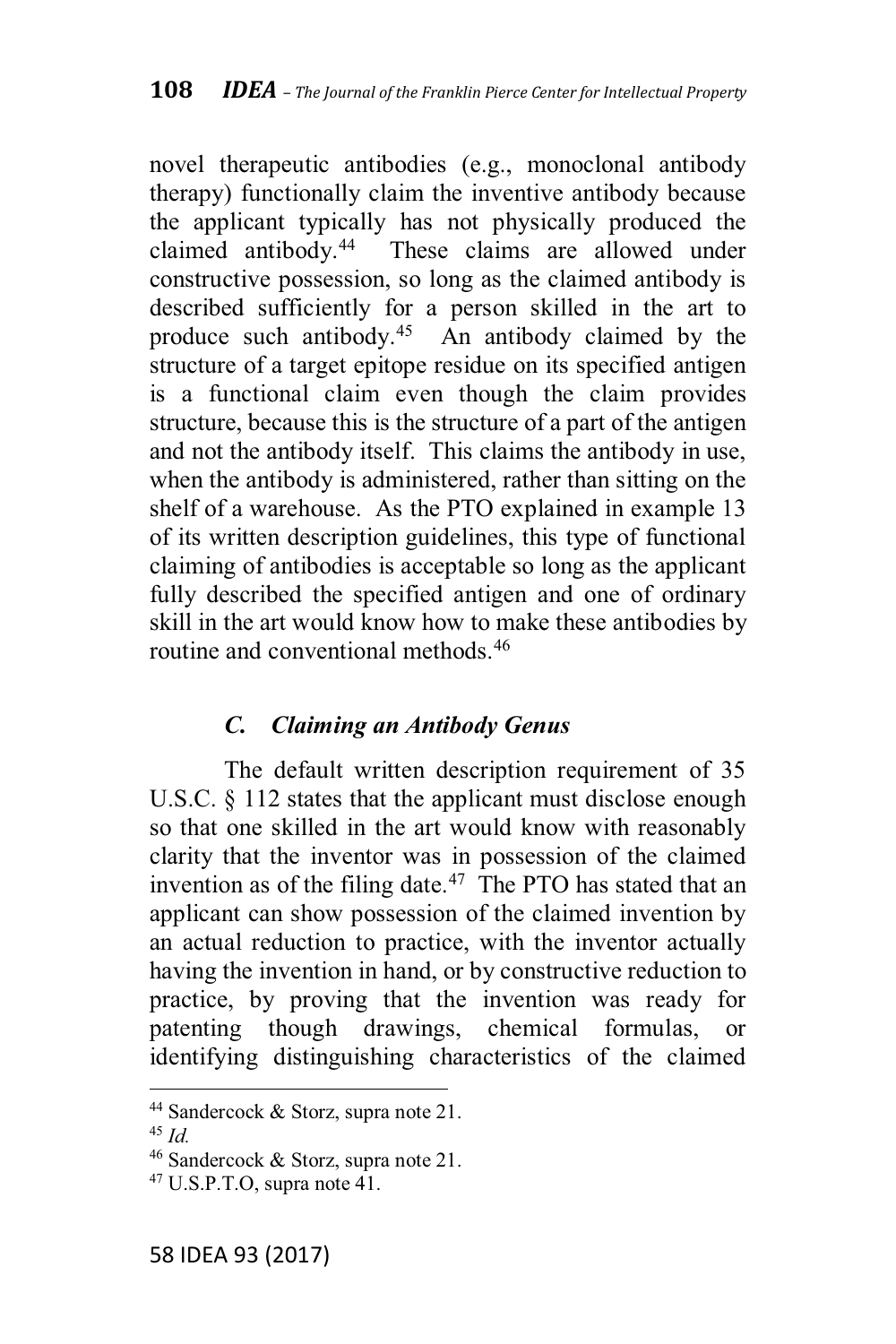novel therapeutic antibodies (e.g., monoclonal antibody therapy) functionally claim the inventive antibody because the applicant typically has not physically produced the claimed antibody.44 These claims are allowed under constructive possession, so long as the claimed antibody is described sufficiently for a person skilled in the art to produce such antibody.45 An antibody claimed by the structure of a target epitope residue on its specified antigen is a functional claim even though the claim provides structure, because this is the structure of a part of the antigen and not the antibody itself. This claims the antibody in use, when the antibody is administered, rather than sitting on the shelf of a warehouse. As the PTO explained in example 13 of its written description guidelines, this type of functional claiming of antibodies is acceptable so long as the applicant fully described the specified antigen and one of ordinary skill in the art would know how to make these antibodies by routine and conventional methods  $46$ 

### *C. Claiming an Antibody Genus*

The default written description requirement of 35 U.S.C. § 112 states that the applicant must disclose enough so that one skilled in the art would know with reasonably clarity that the inventor was in possession of the claimed invention as of the filing date. $47$  The PTO has stated that an applicant can show possession of the claimed invention by an actual reduction to practice, with the inventor actually having the invention in hand, or by constructive reduction to practice, by proving that the invention was ready for patenting though drawings, chemical formulas, or identifying distinguishing characteristics of the claimed

<sup>&</sup>lt;sup>44</sup> Sandercock  $&$  Storz, supra note 21.

<sup>45</sup> *Id.*

<sup>46</sup> Sandercock & Storz, supra note 21.

 $47$  U.S.P.T.O, supra note 41.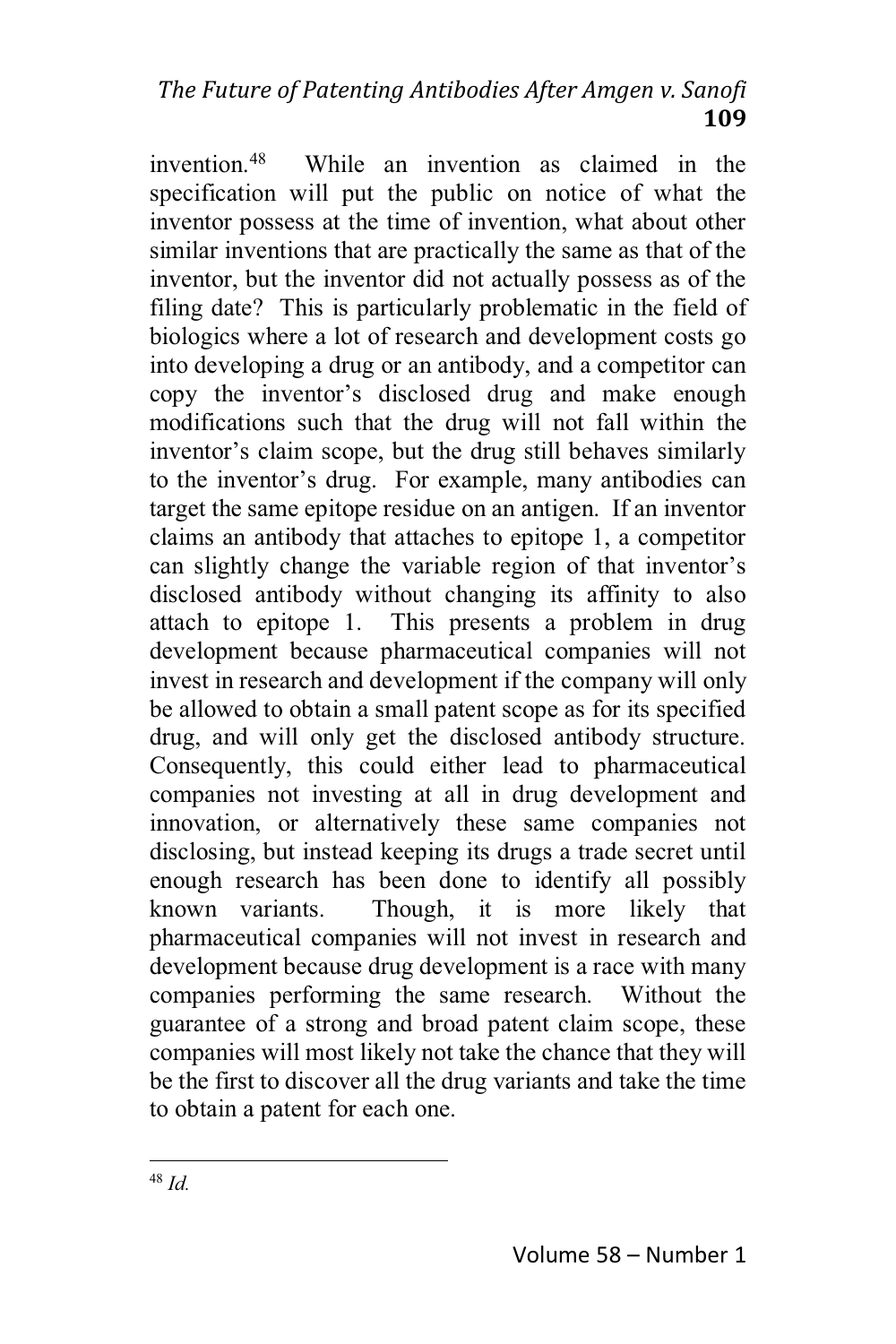invention.48 While an invention as claimed in the specification will put the public on notice of what the inventor possess at the time of invention, what about other similar inventions that are practically the same as that of the inventor, but the inventor did not actually possess as of the filing date? This is particularly problematic in the field of biologics where a lot of research and development costs go into developing a drug or an antibody, and a competitor can copy the inventor's disclosed drug and make enough modifications such that the drug will not fall within the inventor's claim scope, but the drug still behaves similarly to the inventor's drug. For example, many antibodies can target the same epitope residue on an antigen. If an inventor claims an antibody that attaches to epitope 1, a competitor can slightly change the variable region of that inventor's disclosed antibody without changing its affinity to also attach to epitope 1. This presents a problem in drug development because pharmaceutical companies will not invest in research and development if the company will only be allowed to obtain a small patent scope as for its specified drug, and will only get the disclosed antibody structure. Consequently, this could either lead to pharmaceutical companies not investing at all in drug development and innovation, or alternatively these same companies not disclosing, but instead keeping its drugs a trade secret until enough research has been done to identify all possibly known variants. Though, it is more likely that pharmaceutical companies will not invest in research and development because drug development is a race with many companies performing the same research. Without the guarantee of a strong and broad patent claim scope, these companies will most likely not take the chance that they will be the first to discover all the drug variants and take the time to obtain a patent for each one.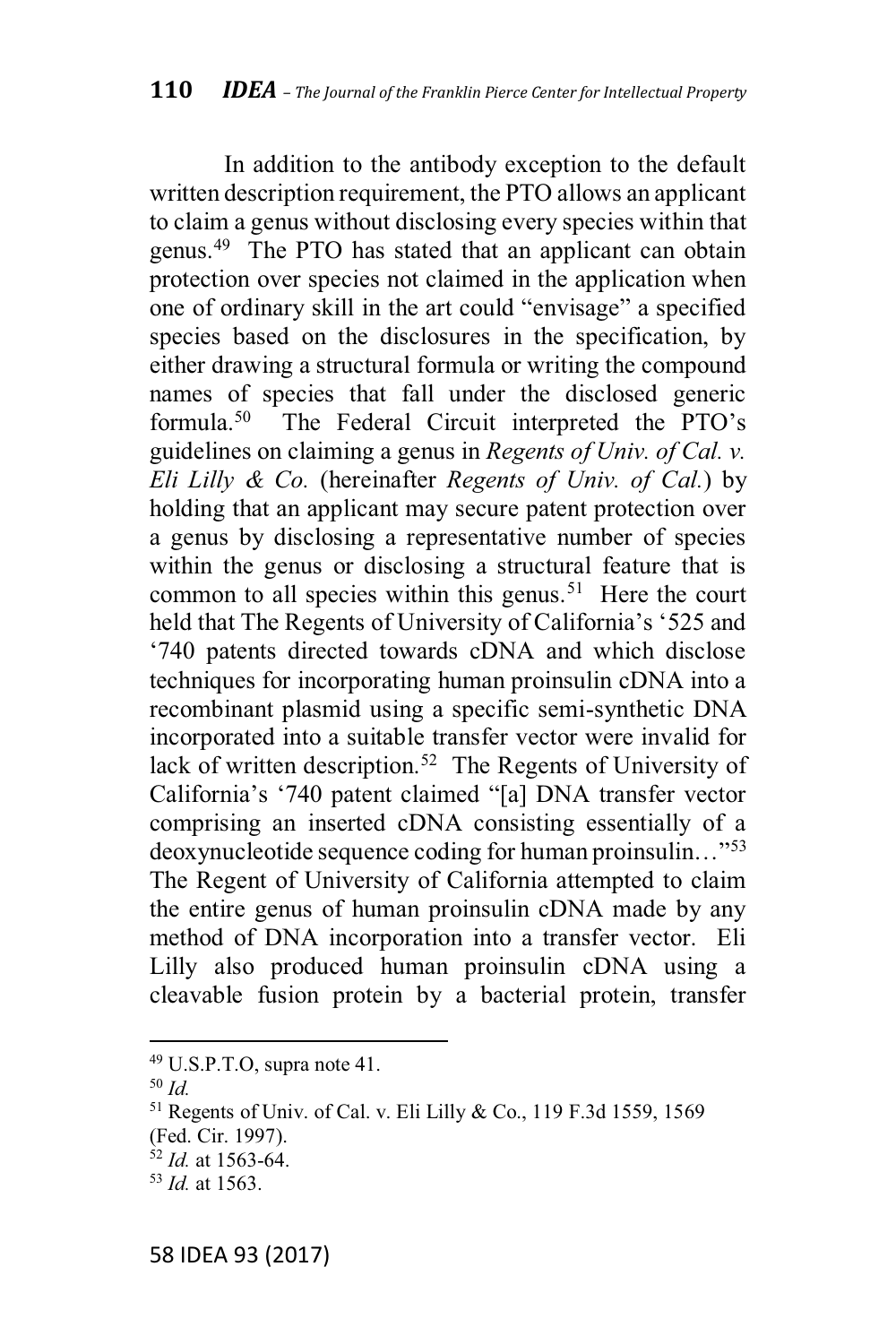In addition to the antibody exception to the default written description requirement, the PTO allows an applicant to claim a genus without disclosing every species within that genus.49 The PTO has stated that an applicant can obtain protection over species not claimed in the application when one of ordinary skill in the art could "envisage" a specified species based on the disclosures in the specification, by either drawing a structural formula or writing the compound names of species that fall under the disclosed generic formula.<sup>50</sup> The Federal Circuit interpreted the PTO's guidelines on claiming a genus in *Regents of Univ. of Cal. v. Eli Lilly & Co.* (hereinafter *Regents of Univ. of Cal.*) by holding that an applicant may secure patent protection over a genus by disclosing a representative number of species within the genus or disclosing a structural feature that is common to all species within this genus.<sup>51</sup> Here the court held that The Regents of University of California's '525 and '740 patents directed towards cDNA and which disclose techniques for incorporating human proinsulin cDNA into a recombinant plasmid using a specific semi-synthetic DNA incorporated into a suitable transfer vector were invalid for lack of written description.<sup>52</sup> The Regents of University of California's '740 patent claimed "[a] DNA transfer vector comprising an inserted cDNA consisting essentially of a deoxynucleotide sequence coding for human proinsulin..." $53$ The Regent of University of California attempted to claim the entire genus of human proinsulin cDNA made by any method of DNA incorporation into a transfer vector. Eli Lilly also produced human proinsulin cDNA using a cleavable fusion protein by a bacterial protein, transfer

<sup>&</sup>lt;sup>49</sup> U.S.P.T.O, supra note 41.

<sup>50</sup> *Id.*

<sup>51</sup> Regents of Univ. of Cal. v. Eli Lilly & Co., 119 F.3d 1559, 1569

<sup>(</sup>Fed. Cir. 1997).

 $\frac{32}{1}$ *Id.* at 1563-64.

<sup>53</sup> *Id.* at 1563.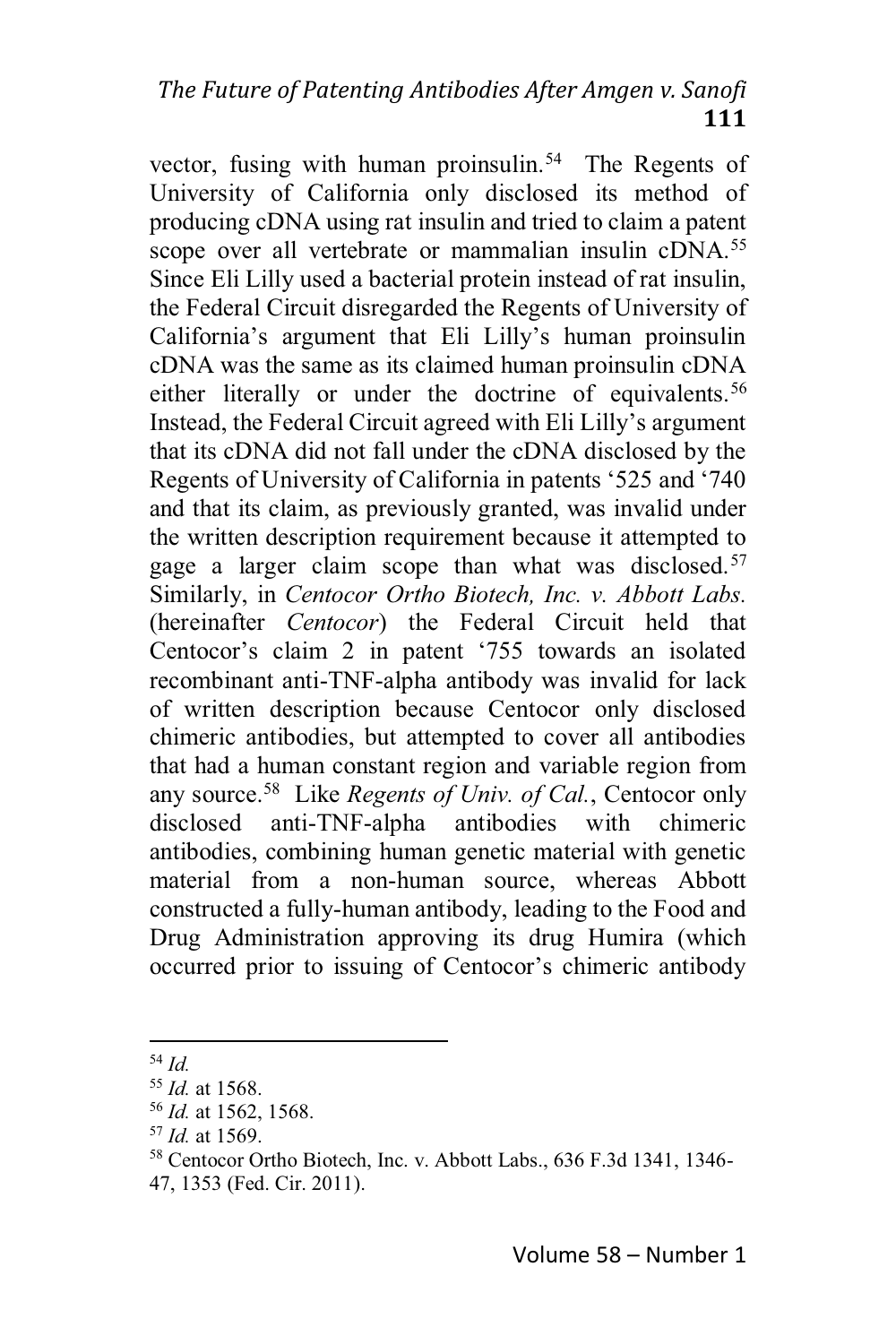vector, fusing with human proinsulin.<sup>54</sup> The Regents of University of California only disclosed its method of producing cDNA using rat insulin and tried to claim a patent scope over all vertebrate or mammalian insulin cDNA.<sup>55</sup> Since Eli Lilly used a bacterial protein instead of rat insulin, the Federal Circuit disregarded the Regents of University of California's argument that Eli Lilly's human proinsulin cDNA was the same as its claimed human proinsulin cDNA either literally or under the doctrine of equivalents.<sup>56</sup> Instead, the Federal Circuit agreed with Eli Lilly's argument that its cDNA did not fall under the cDNA disclosed by the Regents of University of California in patents '525 and '740 and that its claim, as previously granted, was invalid under the written description requirement because it attempted to gage a larger claim scope than what was disclosed.<sup>57</sup> Similarly, in *Centocor Ortho Biotech, Inc. v. Abbott Labs.* (hereinafter *Centocor*) the Federal Circuit held that Centocor's claim 2 in patent '755 towards an isolated recombinant anti-TNF-alpha antibody was invalid for lack of written description because Centocor only disclosed chimeric antibodies, but attempted to cover all antibodies that had a human constant region and variable region from any source.58 Like *Regents of Univ. of Cal.*, Centocor only disclosed anti-TNF-alpha antibodies with chimeric antibodies, combining human genetic material with genetic material from a non-human source, whereas Abbott constructed a fully-human antibody, leading to the Food and Drug Administration approving its drug Humira (which occurred prior to issuing of Centocor's chimeric antibody

<sup>54</sup> *Id.*

<sup>55</sup> *Id.* at 1568.

<sup>56</sup> *Id.* at 1562, 1568.

<sup>57</sup> *Id.* at 1569.

<sup>58</sup> Centocor Ortho Biotech, Inc. v. Abbott Labs., 636 F.3d 1341, 1346- 47, 1353 (Fed. Cir. 2011).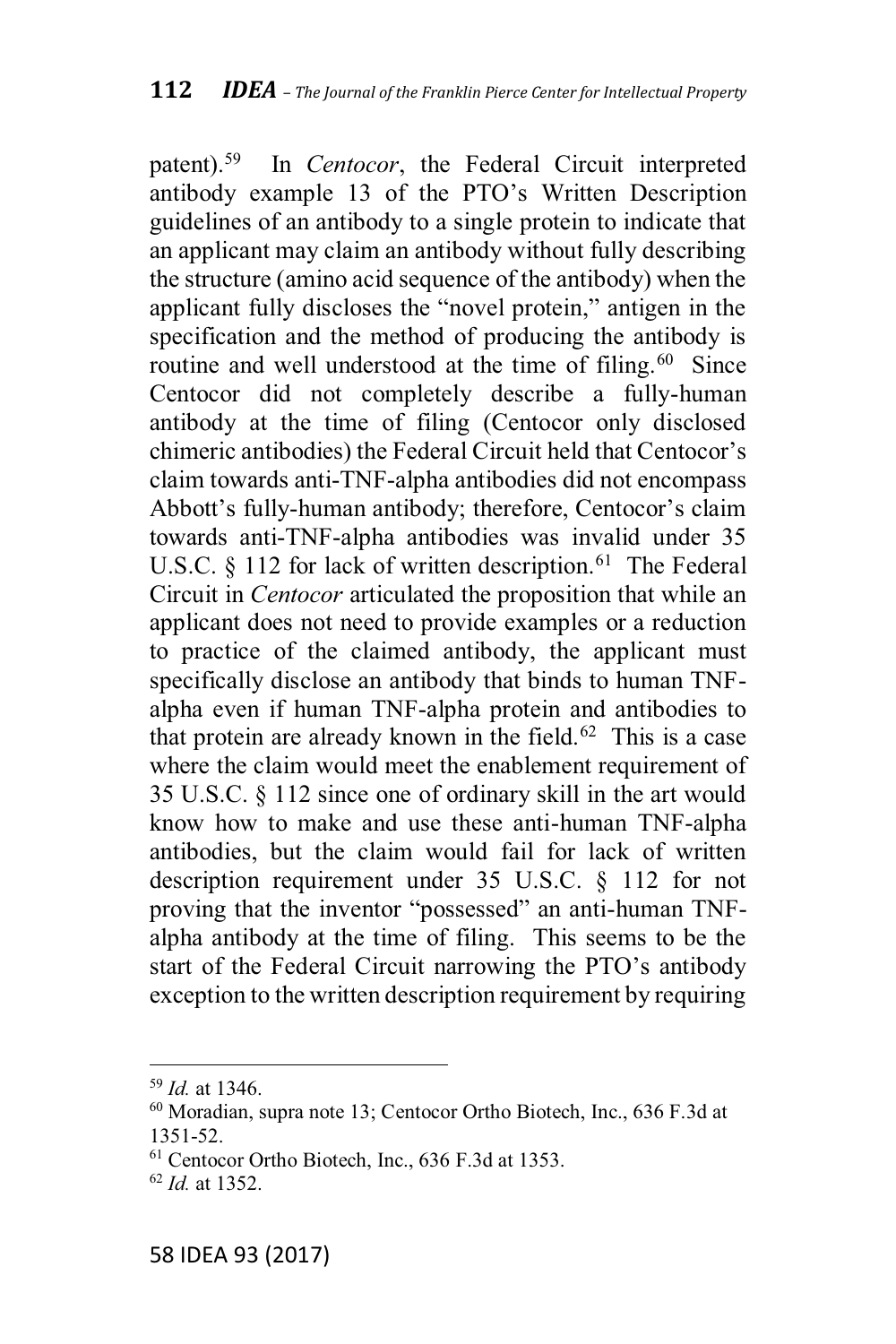patent).<sup>59</sup> In *Centocor*, the Federal Circuit interpreted antibody example 13 of the PTO's Written Description guidelines of an antibody to a single protein to indicate that an applicant may claim an antibody without fully describing the structure (amino acid sequence of the antibody) when the applicant fully discloses the "novel protein," antigen in the specification and the method of producing the antibody is routine and well understood at the time of filing.<sup>60</sup> Since Centocor did not completely describe a fully-human antibody at the time of filing (Centocor only disclosed chimeric antibodies) the Federal Circuit held that Centocor's claim towards anti-TNF-alpha antibodies did not encompass Abbott's fully-human antibody; therefore, Centocor's claim towards anti-TNF-alpha antibodies was invalid under 35 U.S.C.  $\S$  112 for lack of written description.<sup>61</sup> The Federal Circuit in *Centocor* articulated the proposition that while an applicant does not need to provide examples or a reduction to practice of the claimed antibody, the applicant must specifically disclose an antibody that binds to human TNFalpha even if human TNF-alpha protein and antibodies to that protein are already known in the field.<sup>62</sup> This is a case where the claim would meet the enablement requirement of 35 U.S.C. § 112 since one of ordinary skill in the art would know how to make and use these anti-human TNF-alpha antibodies, but the claim would fail for lack of written description requirement under 35 U.S.C. § 112 for not proving that the inventor "possessed" an anti-human TNFalpha antibody at the time of filing. This seems to be the start of the Federal Circuit narrowing the PTO's antibody exception to the written description requirement by requiring

 $59$  *Id.* at 1346.

<sup>&</sup>lt;sup>60</sup> Moradian, supra note 13; Centocor Ortho Biotech, Inc., 636 F.3d at 1351-52.

<sup>&</sup>lt;sup>61</sup> Centocor Ortho Biotech, Inc., 636 F.3d at 1353.

 $^{62}$  *Id* at 1352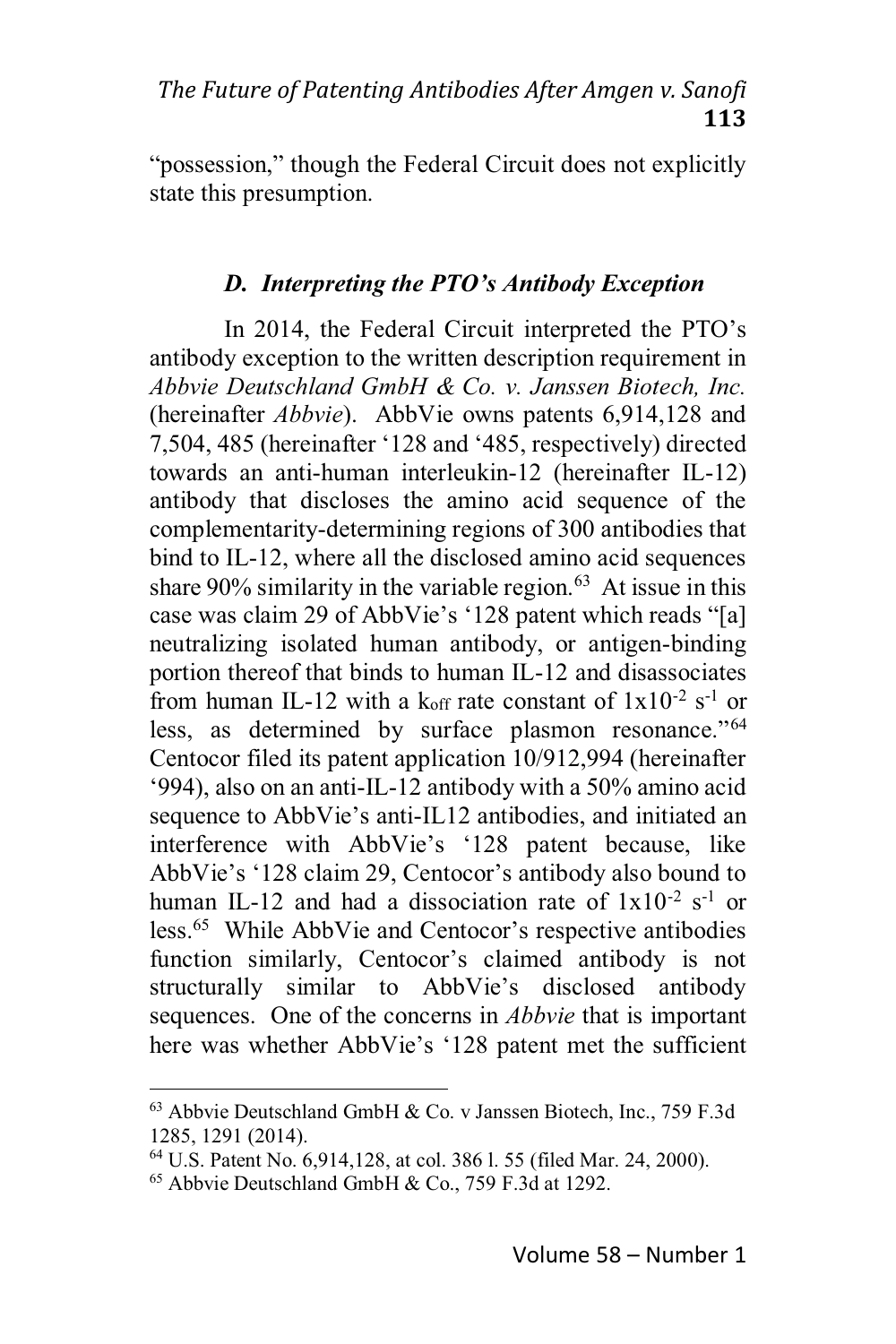"possession," though the Federal Circuit does not explicitly state this presumption.

## D. Interpreting the PTO's Antibody Exception

In 2014, the Federal Circuit interpreted the PTO's antibody exception to the written description requirement in Abbvie Deutschland GmbH & Co. v. Janssen Biotech, Inc. (hereinafter *Abbvie*). AbbVie owns patents 6,914,128 and 7,504, 485 (hereinafter '128 and '485, respectively) directed towards an anti-human interleukin-12 (hereinafter IL-12) antibody that discloses the amino acid sequence of the complementarity-determining regions of 300 antibodies that bind to IL-12, where all the disclosed amino acid sequences share  $90\%$  similarity in the variable region.<sup>63</sup> At issue in this case was claim 29 of AbbVie's '128 patent which reads "[a] neutralizing isolated human antibody, or antigen-binding portion thereof that binds to human IL-12 and disassociates from human IL-12 with a koff rate constant of  $1x10^{-2}$  s<sup>-1</sup> or less, as determined by surface plasmon resonance."<sup>64</sup> Centocor filed its patent application 10/912,994 (hereinafter '994), also on an anti-IL-12 antibody with a 50% amino acid sequence to AbbVie's anti-IL12 antibodies, and initiated an interference with AbbVie's '128 patent because, like AbbVie's '128 claim 29, Centocor's antibody also bound to human IL-12 and had a dissociation rate of  $1x10^{-2}$  s<sup>-1</sup> or less.<sup>65</sup> While AbbVie and Centocor's respective antibodies function similarly, Centocor's claimed antibody is not structurally similar to AbbVie's disclosed antibody sequences. One of the concerns in *Abbyie* that is important here was whether AbbVie's '128 patent met the sufficient

<sup>&</sup>lt;sup>63</sup> Abbyie Deutschland GmbH & Co. v Janssen Biotech, Inc., 759 F.3d 1285, 1291 (2014).

<sup>&</sup>lt;sup>64</sup> U.S. Patent No. 6,914,128, at col. 386 l. 55 (filed Mar. 24, 2000).

<sup>&</sup>lt;sup>65</sup> Abbyie Deutschland GmbH & Co., 759 F.3d at 1292.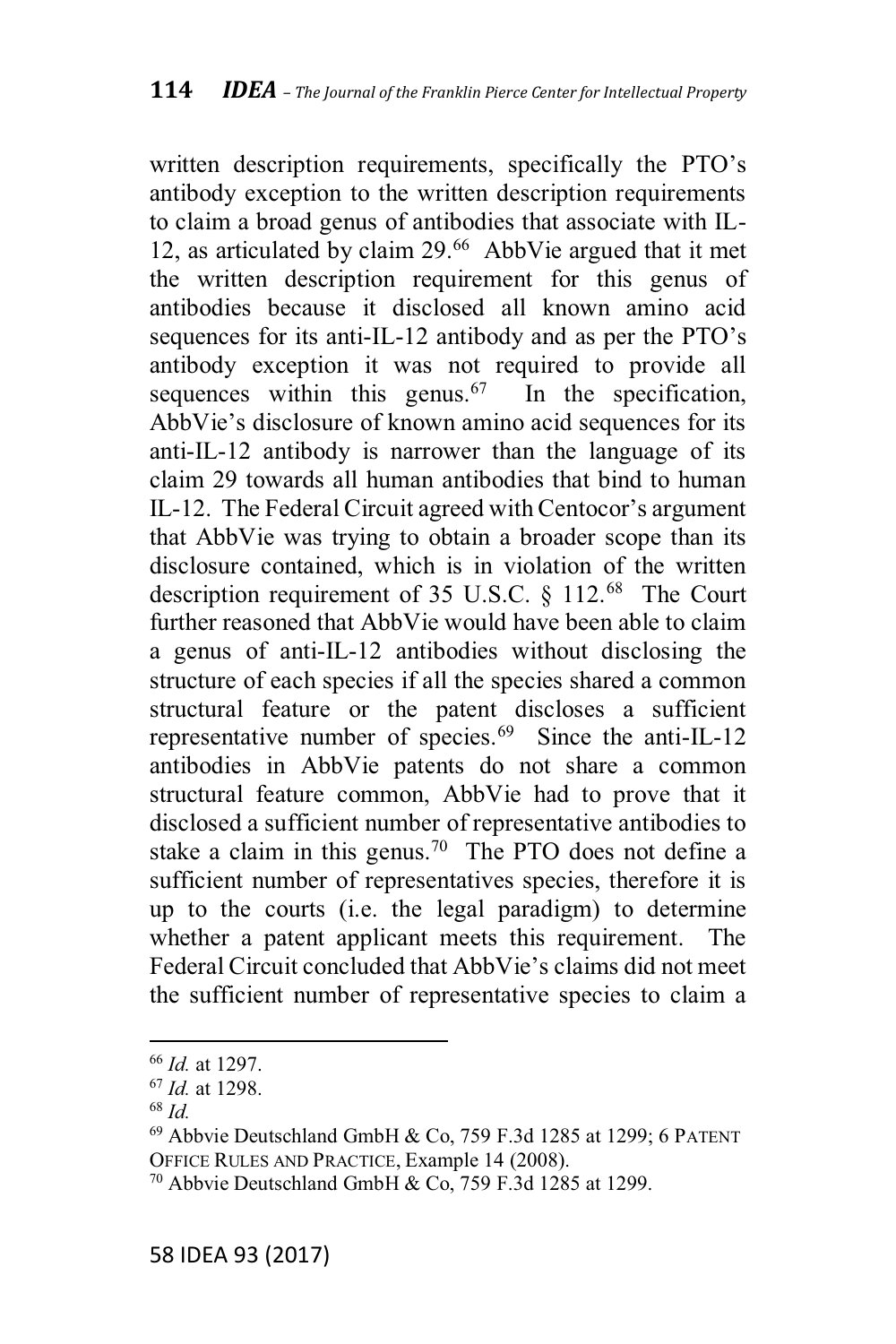written description requirements, specifically the PTO's antibody exception to the written description requirements to claim a broad genus of antibodies that associate with IL-12, as articulated by claim 29.<sup>66</sup> AbbVie argued that it met the written description requirement for this genus of antibodies because it disclosed all known amino acid sequences for its anti-IL-12 antibody and as per the PTO's antibody exception it was not required to provide all sequences within this genus.<sup>67</sup> In the specification, AbbVie's disclosure of known amino acid sequences for its anti-IL-12 antibody is narrower than the language of its claim 29 towards all human antibodies that bind to human IL-12. The Federal Circuit agreed with Centocor's argument that AbbVie was trying to obtain a broader scope than its disclosure contained, which is in violation of the written description requirement of 35 U.S.C.  $\S$  112.<sup>68</sup> The Court further reasoned that AbbVie would have been able to claim a genus of anti-IL-12 antibodies without disclosing the structure of each species if all the species shared a common structural feature or the patent discloses a sufficient representative number of species.<sup>69</sup> Since the anti-IL-12 antibodies in AbbVie patents do not share a common structural feature common, AbbVie had to prove that it disclosed a sufficient number of representative antibodies to stake a claim in this genus.<sup>70</sup> The PTO does not define a sufficient number of representatives species, therefore it is up to the courts (i.e. the legal paradigm) to determine whether a patent applicant meets this requirement. The Federal Circuit concluded that AbbVie's claims did not meet the sufficient number of representative species to claim a

<sup>&</sup>lt;sup>66</sup> Id. at 1297.

 $67$  *Id.* at 1298.

 $68$   $Id$ 

<sup>&</sup>lt;sup>69</sup> Abbvie Deutschland GmbH & Co, 759 F.3d 1285 at 1299; 6 PATENT OFFICE RULES AND PRACTICE, Example 14 (2008).

<sup>&</sup>lt;sup>70</sup> Abbyie Deutschland GmbH & Co,  $759$  F.3d 1285 at 1299.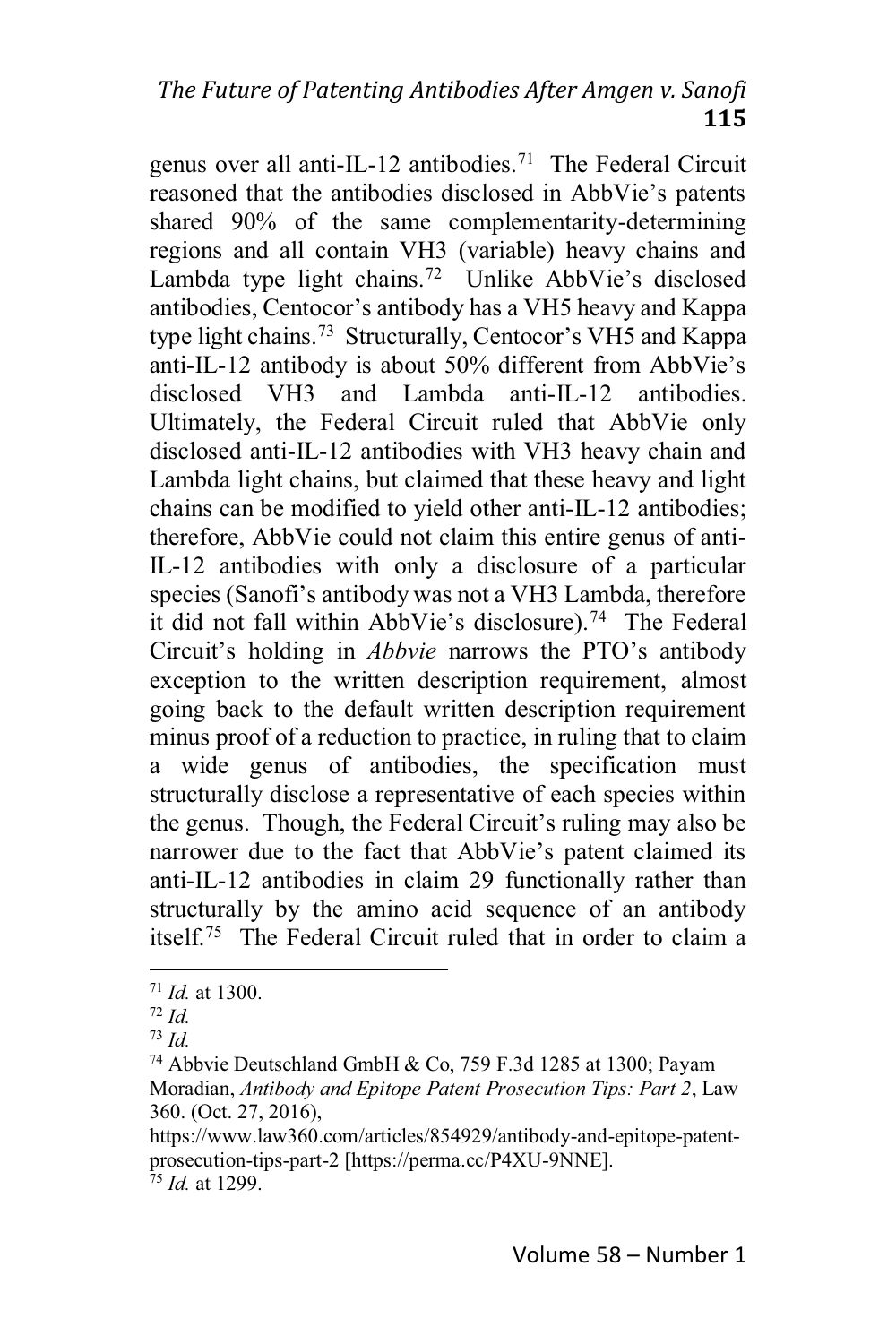genus over all anti-IL-12 antibodies.<sup>71</sup> The Federal Circuit reasoned that the antibodies disclosed in AbbVie's patents shared 90% of the same complementarity-determining regions and all contain VH3 (variable) heavy chains and Lambda type light chains.<sup>72</sup> Unlike AbbVie's disclosed antibodies, Centocor's antibody has a VH5 heavy and Kappa type light chains.<sup>73</sup> Structurally, Centocor's VH5 and Kappa anti-IL-12 antibody is about 50% different from AbbVie's disclosed VH3 and Lambda anti-IL-12 antibodies Ultimately, the Federal Circuit ruled that AbbVie only disclosed anti-IL-12 antibodies with VH3 heavy chain and Lambda light chains, but claimed that these heavy and light chains can be modified to yield other anti-IL-12 antibodies; therefore, AbbVie could not claim this entire genus of anti-IL-12 antibodies with only a disclosure of a particular species (Sanofi's antibody was not a VH3 Lambda, therefore it did not fall within AbbVie's disclosure).<sup>74</sup> The Federal Circuit's holding in *Abbyie* narrows the PTO's antibody exception to the written description requirement, almost going back to the default written description requirement minus proof of a reduction to practice, in ruling that to claim a wide genus of antibodies, the specification must structurally disclose a representative of each species within the genus. Though, the Federal Circuit's ruling may also be narrower due to the fact that AbbVie's patent claimed its anti-IL-12 antibodies in claim 29 functionally rather than structurally by the amino acid sequence of an antibody itself.<sup>75</sup> The Federal Circuit ruled that in order to claim a

 $71$  *Id.* at 1300.

 $72$  Id.

 $^{73}$  Id.

<sup>&</sup>lt;sup>74</sup> Abbvie Deutschland GmbH & Co, 759 F.3d 1285 at 1300; Payam Moradian, Antibody and Epitope Patent Prosecution Tips: Part 2, Law 360. (Oct. 27, 2016),

https://www.law360.com/articles/854929/antibody-and-epitope-patentprosecution-tips-part-2 [https://perma.cc/P4XU-9NNE].  $^{75}$  *Id* at 1299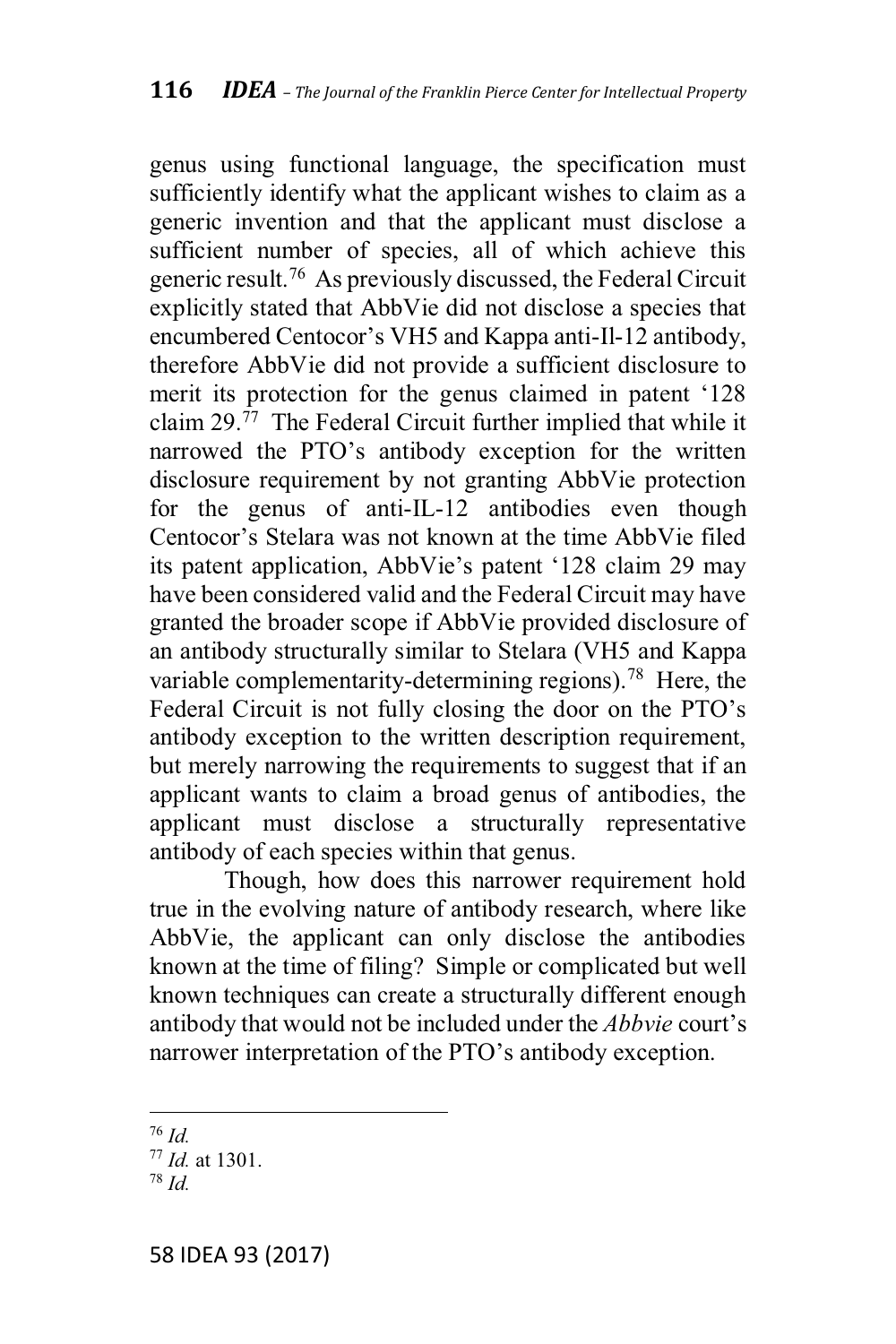genus using functional language, the specification must sufficiently identify what the applicant wishes to claim as a generic invention and that the applicant must disclose a sufficient number of species, all of which achieve this generic result.<sup>76</sup> As previously discussed, the Federal Circuit explicitly stated that AbbVie did not disclose a species that encumbered Centocor's VH5 and Kappa anti-Il-12 antibody, therefore AbbVie did not provide a sufficient disclosure to merit its protection for the genus claimed in patent '128 claim 29. $^{77}$  The Federal Circuit further implied that while it narrowed the PTO's antibody exception for the written disclosure requirement by not granting AbbVie protection for the genus of anti-IL-12 antibodies even though Centocor's Stelara was not known at the time AbbVie filed its patent application, AbbVie's patent '128 claim 29 may have been considered valid and the Federal Circuit may have granted the broader scope if AbbVie provided disclosure of an antibody structurally similar to Stelara (VH5 and Kappa variable complementarity-determining regions).<sup>78</sup> Here, the Federal Circuit is not fully closing the door on the PTO's antibody exception to the written description requirement, but merely narrowing the requirements to suggest that if an applicant wants to claim a broad genus of antibodies, the applicant must disclose a structurally representative antibody of each species within that genus.

Though, how does this narrower requirement hold true in the evolving nature of antibody research, where like AbbVie, the applicant can only disclose the antibodies known at the time of filing? Simple or complicated but well known techniques can create a structurally different enough antibody that would not be included under the *Abbvie* court's narrower interpretation of the PTO's antibody exception.

 $76$  Id.

 $77$  *Id.* at 1301.

 $78$   $Id$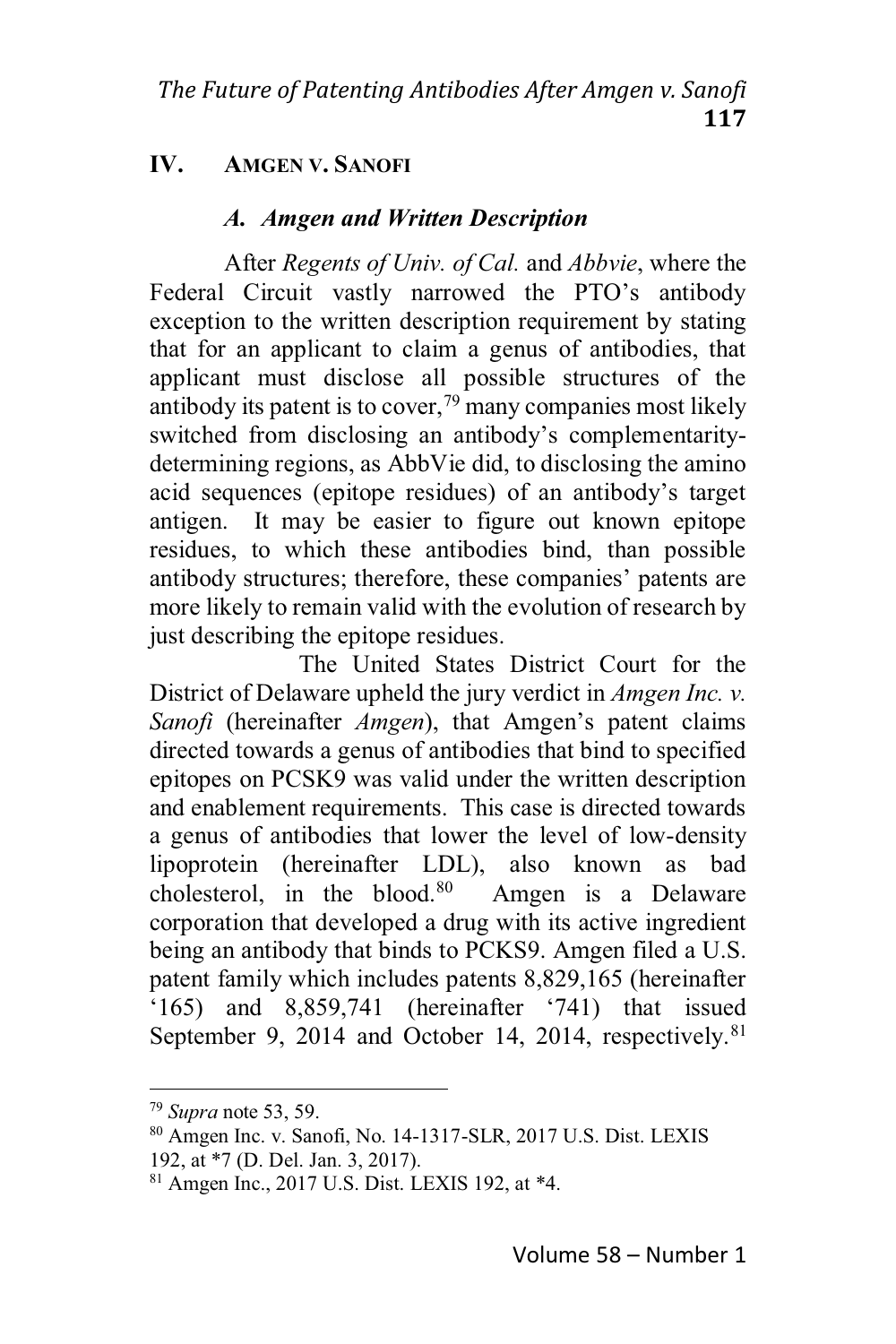#### IV. **AMGEN V. SANOFI**

## A. Amgen and Written Description

After *Regents of Univ. of Cal.* and *Abbyie*, where the Federal Circuit vastly narrowed the PTO's antibody exception to the written description requirement by stating that for an applicant to claim a genus of antibodies, that applicant must disclose all possible structures of the antibody its patent is to cover,  $\frac{79}{9}$  many companies most likely switched from disclosing an antibody's complementaritydetermining regions, as AbbVie did, to disclosing the amino acid sequences (epitope residues) of an antibody's target antigen. It may be easier to figure out known epitope residues, to which these antibodies bind, than possible antibody structures; therefore, these companies' patents are more likely to remain valid with the evolution of research by just describing the epitope residues.

The United States District Court for the District of Delaware upheld the jury verdict in *Amgen Inc. v.* Sanofi (hereinafter *Amgen*), that Amgen's patent claims directed towards a genus of antibodies that bind to specified epitopes on PCSK9 was valid under the written description and enablement requirements. This case is directed towards a genus of antibodies that lower the level of low-density lipoprotein (hereinafter LDL), also known as had cholesterol, in the blood.<sup>80</sup> Amgen is a Delaware corporation that developed a drug with its active ingredient being an antibody that binds to PCKS9. Amgen filed a U.S. patent family which includes patents 8,829,165 (hereinafter  $(165)$  and  $8,859,741$  (hereinafter  $(741)$ ) that issued September 9, 2014 and October 14, 2014, respectively.<sup>81</sup>

 $79$  Supra note 53, 59.

<sup>&</sup>lt;sup>80</sup> Amgen Inc. v. Sanofi, No. 14-1317-SLR, 2017 U.S. Dist. LEXIS

<sup>192,</sup> at \*7 (D. Del. Jan. 3, 2017).

 $81$  Amgen Inc., 2017 U.S. Dist. LEXIS 192, at  $*4$ .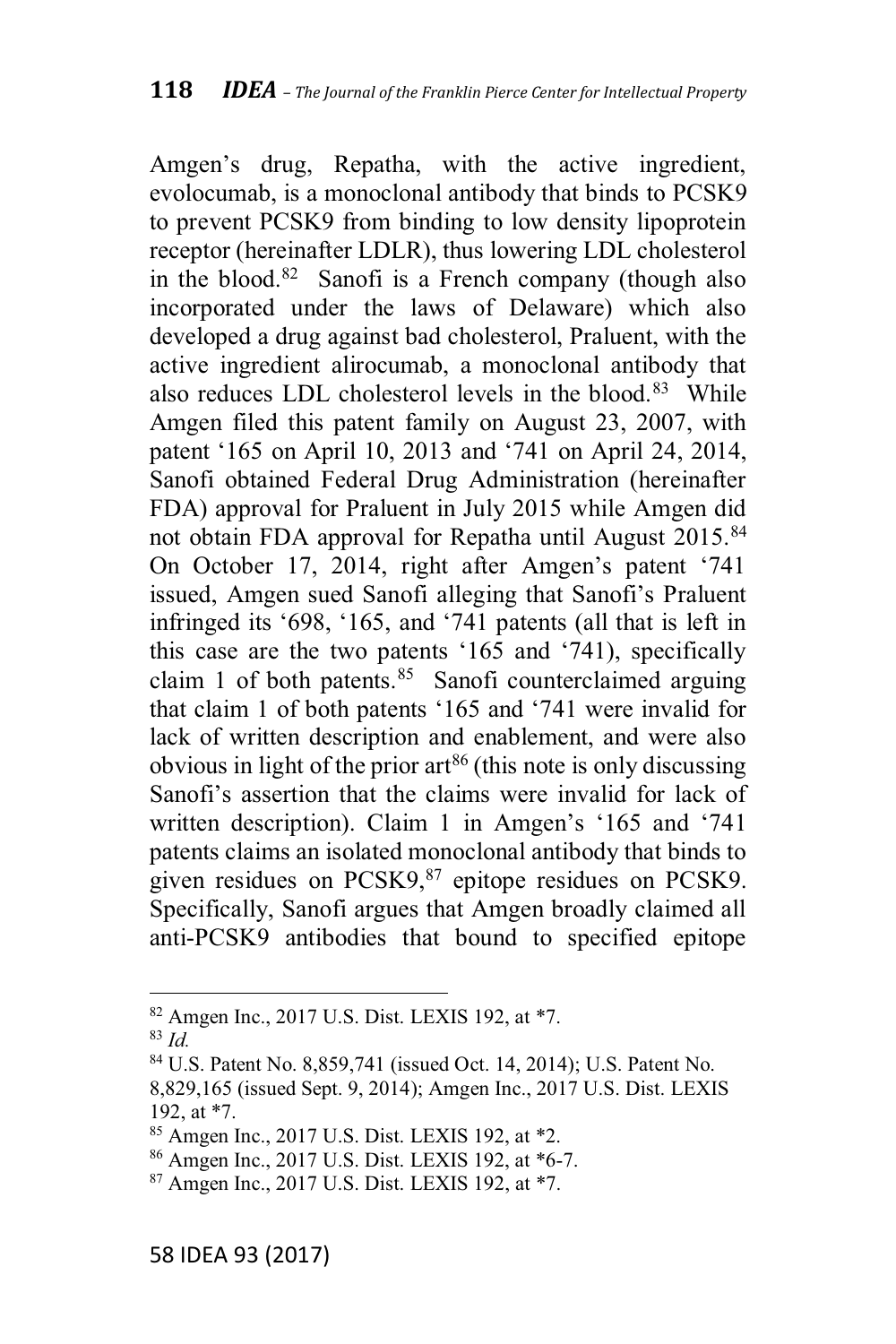Amgen's drug, Repatha, with the active ingredient, evolocumab, is a monoclonal antibody that binds to PCSK9 to prevent PCSK9 from binding to low density lipoprotein receptor (hereinafter LDLR), thus lowering LDL cholesterol in the blood.<sup>82</sup> Sanofi is a French company (though also incorporated under the laws of Delaware) which also developed a drug against bad cholesterol, Praluent, with the active ingredient alirocumab, a monoclonal antibody that also reduces LDL cholesterol levels in the blood.<sup>83</sup> While Amgen filed this patent family on August 23, 2007, with patent '165 on April 10, 2013 and '741 on April 24, 2014, Sanofi obtained Federal Drug Administration (hereinafter FDA) approval for Praluent in July 2015 while Amgen did not obtain FDA approval for Repatha until August 2015.<sup>84</sup> On October 17, 2014, right after Amgen's patent '741 issued, Amgen sued Sanofi alleging that Sanofi's Praluent infringed its '698, '165, and '741 patents (all that is left in this case are the two patents  $'165$  and  $'741$ ), specifically claim 1 of both patents. $85$  Sanofi counterclaimed arguing that claim 1 of both patents  $165$  and  $741$  were invalid for lack of written description and enablement, and were also obvious in light of the prior art<sup>86</sup> (this note is only discussing Sanofi's assertion that the claims were invalid for lack of written description). Claim 1 in Amgen's '165 and '741 patents claims an isolated monoclonal antibody that binds to given residues on PCSK9,<sup>87</sup> epitope residues on PCSK9. Specifically, Sanofi argues that Amgen broadly claimed all anti-PCSK9 antibodies that bound to specified epitope

<sup>82</sup> Amgen Inc., 2017 U.S. Dist. LEXIS 192, at \*7.

<sup>83</sup> *Id.*

<sup>84</sup> U.S. Patent No. 8,859,741 (issued Oct. 14, 2014); U.S. Patent No.

<sup>8,829,165</sup> (issued Sept. 9, 2014); Amgen Inc., 2017 U.S. Dist. LEXIS 192, at \*7.

<sup>85</sup> Amgen Inc., 2017 U.S. Dist. LEXIS 192, at \*2.

<sup>86</sup> Amgen Inc., 2017 U.S. Dist. LEXIS 192, at \*6-7.

<sup>87</sup> Amgen Inc., 2017 U.S. Dist. LEXIS 192, at \*7.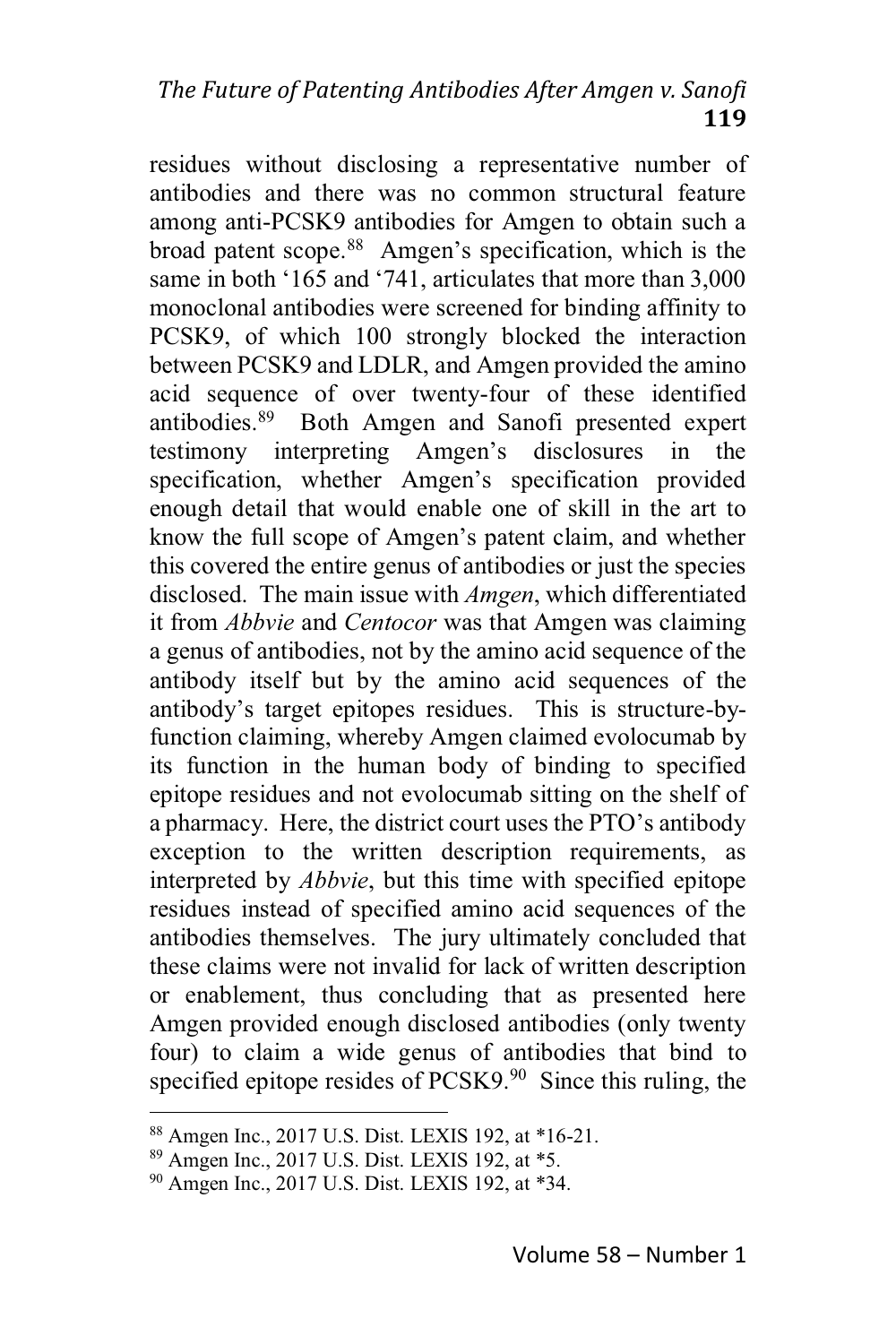residues without disclosing a representative number of antibodies and there was no common structural feature among anti-PCSK9 antibodies for Amgen to obtain such a broad patent scope.<sup>88</sup> Amgen's specification, which is the same in both '165 and '741, articulates that more than 3,000 monoclonal antibodies were screened for binding affinity to PCSK9, of which 100 strongly blocked the interaction between PCSK9 and LDLR, and Amgen provided the amino acid sequence of over twenty-four of these identified antibodies.<sup>89</sup> Both Amgen and Sanofi presented expert testimony interpreting Amgen's disclosures  $in$ the specification, whether Amgen's specification provided enough detail that would enable one of skill in the art to know the full scope of Amgen's patent claim, and whether this covered the entire genus of antibodies or just the species disclosed. The main issue with *Amgen*, which differentiated it from *Abbvie* and *Centocor* was that Amgen was claiming a genus of antibodies, not by the amino acid sequence of the antibody itself but by the amino acid sequences of the antibody's target epitopes residues. This is structure-byfunction claiming, whereby Amgen claimed evolocumab by its function in the human body of binding to specified epitope residues and not evolocumab sitting on the shelf of a pharmacy. Here, the district court uses the PTO's antibody exception to the written description requirements, as interpreted by *Abbvie*, but this time with specified epitope residues instead of specified amino acid sequences of the antibodies themselves. The jury ultimately concluded that these claims were not invalid for lack of written description or enablement, thus concluding that as presented here Amgen provided enough disclosed antibodies (only twenty four) to claim a wide genus of antibodies that bind to specified epitope resides of PCSK9.90 Since this ruling, the

<sup>&</sup>lt;sup>88</sup> Amgen Inc., 2017 U.S. Dist. LEXIS 192, at \*16-21.

<sup>&</sup>lt;sup>89</sup> Amgen Inc., 2017 U.S. Dist. LEXIS 192, at \*5.

<sup>&</sup>lt;sup>90</sup> Amgen Inc., 2017 U.S. Dist. LEXIS 192, at \*34.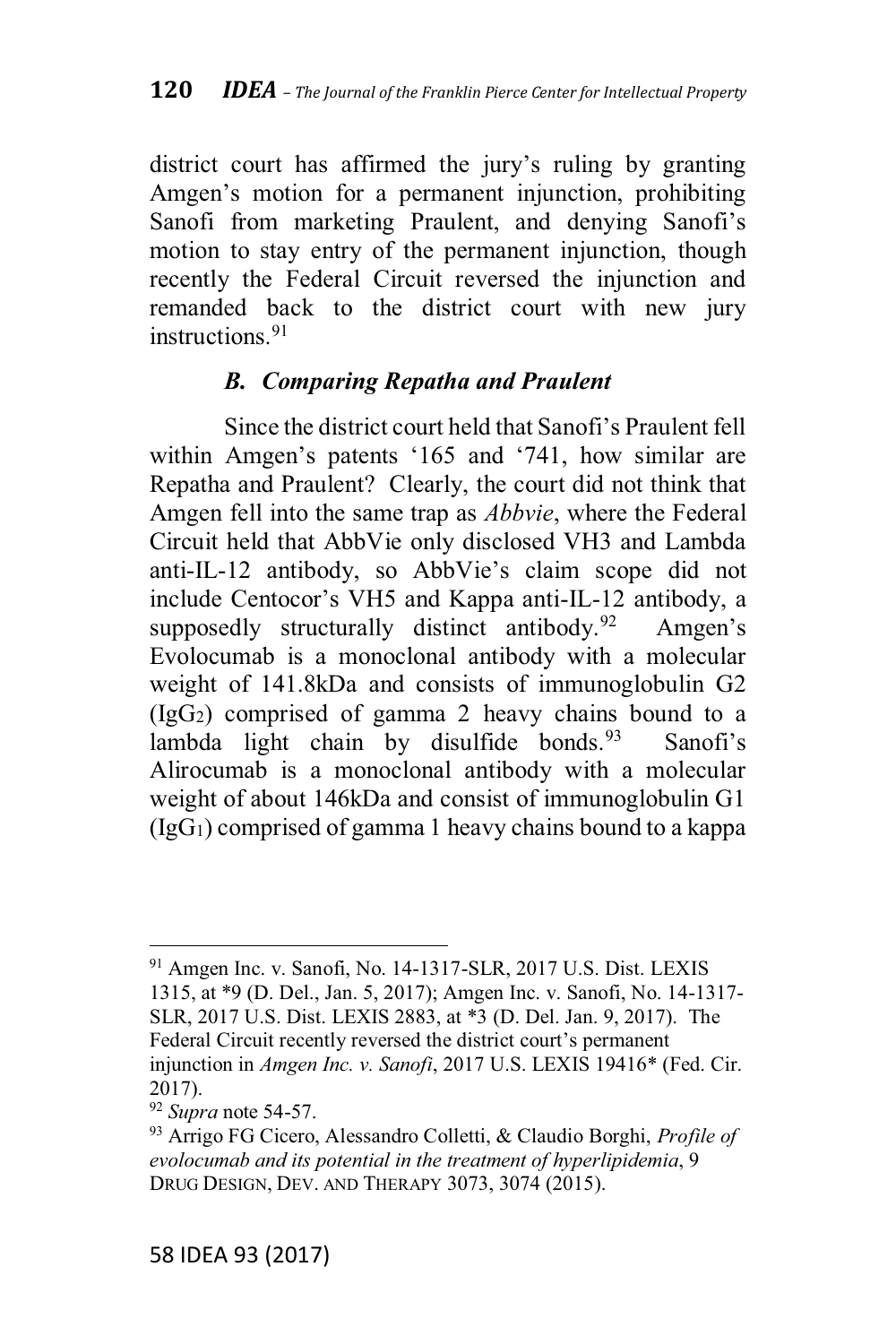district court has affirmed the jury's ruling by granting Amgen's motion for a permanent injunction, prohibiting Sanofi from marketing Praulent, and denying Sanofi's motion to stay entry of the permanent injunction, though recently the Federal Circuit reversed the injunction and remanded back to the district court with new jury instructions  $91$ 

## **B.** Comparing Repatha and Praulent

Since the district court held that Sanofi's Praulent fell within Amgen's patents '165 and '741, how similar are Repatha and Praulent? Clearly, the court did not think that Amgen fell into the same trap as *Abbvie*, where the Federal Circuit held that AbbVie only disclosed VH3 and Lambda anti-IL-12 antibody, so AbbVie's claim scope did not include Centocor's VH5 and Kappa anti-IL-12 antibody, a supposedly structurally distinct antibody.<sup>92</sup> Amgen's Evolocumab is a monoclonal antibody with a molecular weight of 141.8kDa and consists of immunoglobulin G2  $(IgG<sub>2</sub>)$  comprised of gamma 2 heavy chains bound to a lambda light chain by disulfide bonds.<sup>93</sup> Sanofi's Alirocumab is a monoclonal antibody with a molecular weight of about 146kDa and consist of immunoglobulin G1  $(IgG<sub>1</sub>)$  comprised of gamma 1 heavy chains bound to a kappa

<sup>&</sup>lt;sup>91</sup> Amgen Inc. v. Sanofi, No. 14-1317-SLR, 2017 U.S. Dist. LEXIS 1315, at \*9 (D. Del., Jan. 5, 2017); Amgen Inc. v. Sanofi, No. 14-1317-SLR, 2017 U.S. Dist. LEXIS 2883, at \*3 (D. Del. Jan. 9, 2017). The Federal Circuit recently reversed the district court's permanent injunction in Amgen Inc. v. Sanofi, 2017 U.S. LEXIS 19416\* (Fed. Cir.  $2017$ ).

 $92$  Supra note 54-57.

<sup>&</sup>lt;sup>93</sup> Arrigo FG Cicero, Alessandro Colletti, & Claudio Borghi, *Profile of* evolocumab and its potential in the treatment of hyperlipidemia, 9 DRUG DESIGN, DEV. AND THERAPY 3073, 3074 (2015).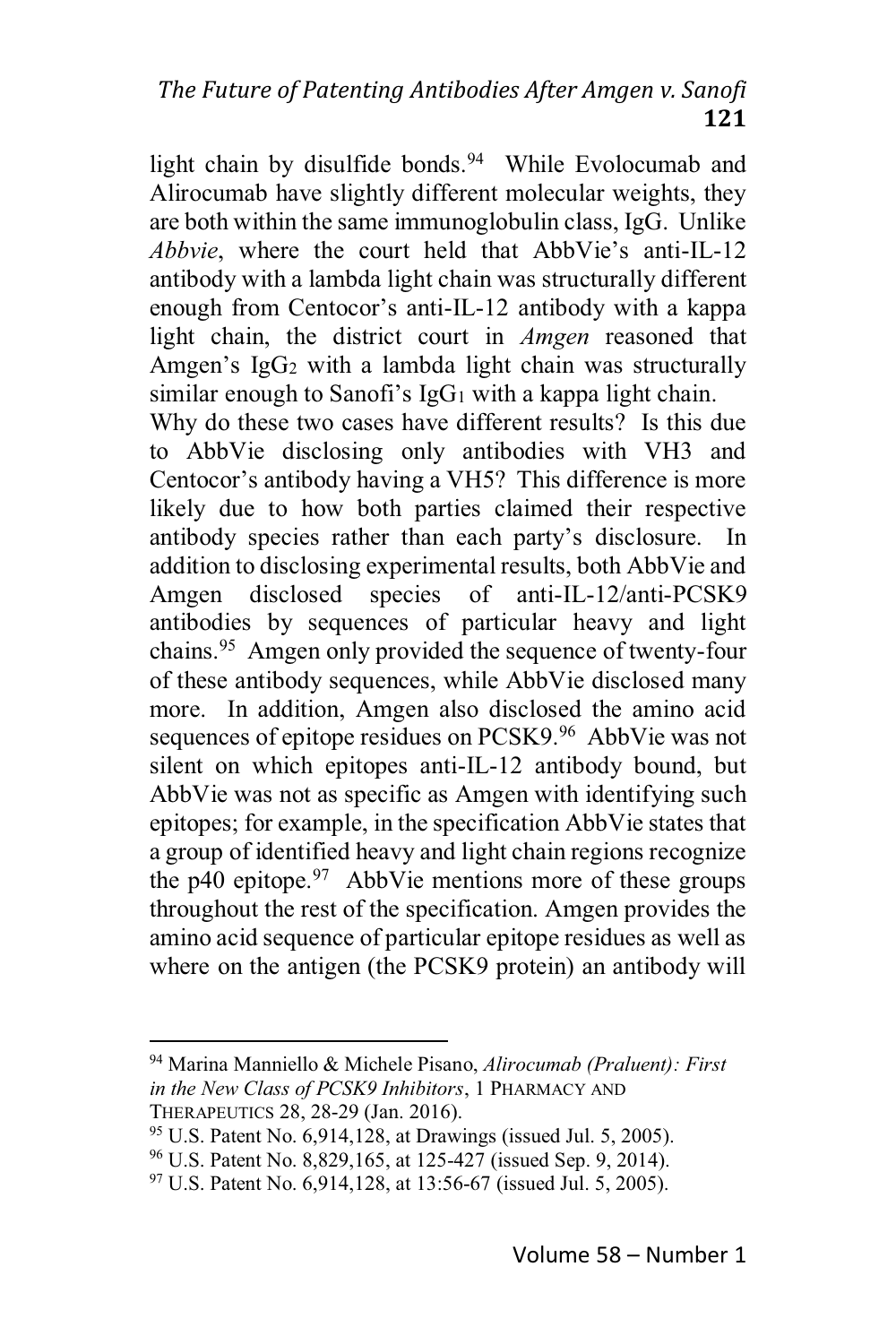light chain by disulfide bonds.<sup>94</sup> While Evolocumab and Alirocumab have slightly different molecular weights, they are both within the same immunoglobulin class, IgG. Unlike Abbyie, where the court held that AbbVie's anti-IL-12 antibody with a lambda light chain was structurally different enough from Centocor's anti-IL-12 antibody with a kappa light chain, the district court in *Amgen* reasoned that Amgen's IgG<sub>2</sub> with a lambda light chain was structurally similar enough to Sanofi's  $IgG_1$  with a kappa light chain.

Why do these two cases have different results? Is this due to AbbVie disclosing only antibodies with VH3 and Centocor's antibody having a VH5? This difference is more likely due to how both parties claimed their respective antibody species rather than each party's disclosure. In addition to disclosing experimental results, both AbbVie and disclosed species of anti-IL-12/anti-PCSK9 Amgen antibodies by sequences of particular heavy and light chains.<sup>95</sup> Amgen only provided the sequence of twenty-four of these antibody sequences, while AbbVie disclosed many more. In addition, Amgen also disclosed the amino acid sequences of epitope residues on PCSK9.96 AbbVie was not silent on which epitopes anti-IL-12 antibody bound, but AbbVie was not as specific as Amgen with identifying such epitopes; for example, in the specification AbbVie states that a group of identified heavy and light chain regions recognize the  $p40$  epitope.<sup>97</sup> AbbVie mentions more of these groups throughout the rest of the specification. Amgen provides the amino acid sequence of particular epitope residues as well as where on the antigen (the PCSK9 protein) an antibody will

<sup>&</sup>lt;sup>94</sup> Marina Manniello & Michele Pisano, Alirocumab (Praluent): First in the New Class of PCSK9 Inhibitors, 1 PHARMACY AND THERAPEUTICS 28, 28-29 (Jan. 2016).

<sup>&</sup>lt;sup>95</sup> U.S. Patent No. 6,914,128, at Drawings (issued Jul. 5, 2005).

<sup>&</sup>lt;sup>96</sup> U.S. Patent No. 8,829,165, at 125-427 (issued Sep. 9, 2014).

<sup>&</sup>lt;sup>97</sup> U.S. Patent No. 6.914,128, at 13:56-67 (issued Jul. 5, 2005).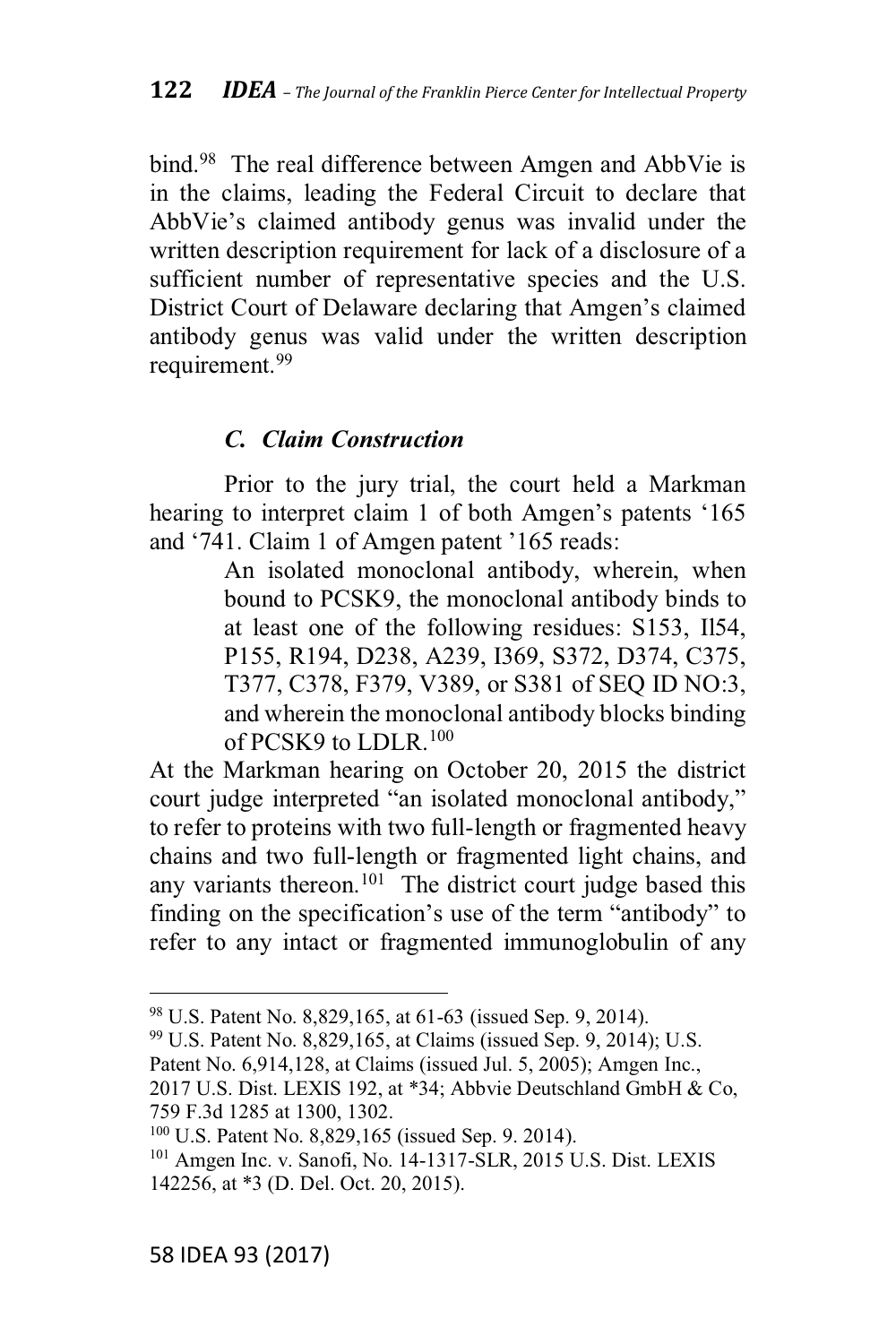bind.<sup>98</sup> The real difference between Amgen and AbbVie is in the claims, leading the Federal Circuit to declare that AbbVie's claimed antibody genus was invalid under the written description requirement for lack of a disclosure of a sufficient number of representative species and the U.S. District Court of Delaware declaring that Amgen's claimed antibody genus was valid under the written description requirement.<sup>99</sup>

## *C. Claim Construction*

Prior to the jury trial, the court held a Markman hearing to interpret claim 1 of both Amgen's patents '165 and '741. Claim 1 of Amgen patent '165 reads:

> An isolated monoclonal antibody, wherein, when bound to PCSK9, the monoclonal antibody binds to at least one of the following residues: S153, Il54, P155, R194, D238, A239, I369, S372, D374, C375, T377, C378, F379, V389, or S381 of SEQ ID NO:3, and wherein the monoclonal antibody blocks binding of PCSK9 to LDLR.100

At the Markman hearing on October 20, 2015 the district court judge interpreted "an isolated monoclonal antibody," to refer to proteins with two full-length or fragmented heavy chains and two full-length or fragmented light chains, and any variants thereon.<sup>101</sup> The district court judge based this finding on the specification's use of the term "antibody" to refer to any intact or fragmented immunoglobulin of any

<sup>98</sup> U.S. Patent No. 8,829,165, at 61-63 (issued Sep. 9, 2014).

 $99$  U.S. Patent No. 8,829,165, at Claims (issued Sep. 9, 2014); U.S.

Patent No. 6,914,128, at Claims (issued Jul. 5, 2005); Amgen Inc.,

<sup>2017</sup> U.S. Dist. LEXIS 192, at \*34; Abbvie Deutschland GmbH & Co, 759 F.3d 1285 at 1300, 1302.

<sup>100</sup> U.S. Patent No. 8,829,165 (issued Sep. 9. 2014).

<sup>101</sup> Amgen Inc. v. Sanofi, No. 14-1317-SLR, 2015 U.S. Dist. LEXIS 142256, at \*3 (D. Del. Oct. 20, 2015).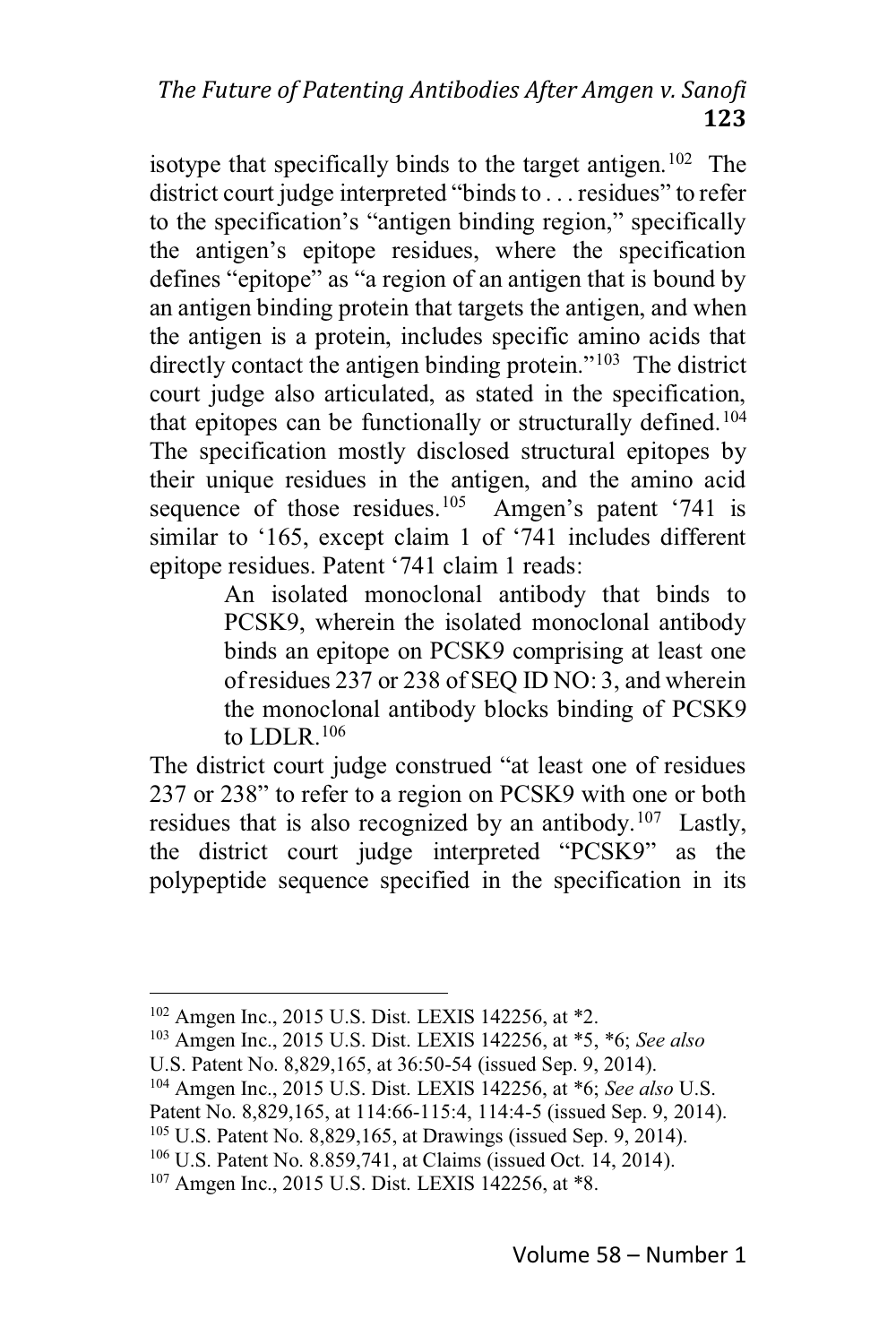isotype that specifically binds to the target antigen.<sup>102</sup> The district court judge interpreted "binds to . . . residues" to refer to the specification's "antigen binding region," specifically the antigen's epitope residues, where the specification defines "epitope" as "a region of an antigen that is bound by an antigen binding protein that targets the antigen, and when the antigen is a protein, includes specific amino acids that directly contact the antigen binding protein."<sup>103</sup> The district court judge also articulated, as stated in the specification, that epitopes can be functionally or structurally defined.<sup>104</sup> The specification mostly disclosed structural epitopes by their unique residues in the antigen, and the amino acid sequence of those residues.<sup>105</sup> Amgen's patent '741 is similar to '165, except claim 1 of '741 includes different epitope residues. Patent '741 claim 1 reads:

> An isolated monoclonal antibody that binds to PCSK9, wherein the isolated monoclonal antibody binds an epitope on PCSK9 comprising at least one of residues 237 or 238 of SEO ID NO: 3, and wherein the monoclonal antibody blocks binding of PCSK9 to LDLR.  $106$

The district court judge construed "at least one of residues" 237 or 238" to refer to a region on PCSK9 with one or both residues that is also recognized by an antibody.<sup>107</sup> Lastly, the district court judge interpreted "PCSK9" as the polypeptide sequence specified in the specification in its

<sup>&</sup>lt;sup>102</sup> Amgen Inc., 2015 U.S. Dist. LEXIS 142256, at \*2.

<sup>&</sup>lt;sup>103</sup> Amgen Inc., 2015 U.S. Dist. LEXIS 142256, at \*5, \*6; See also

U.S. Patent No. 8,829,165, at 36:50-54 (issued Sep. 9, 2014).

<sup>&</sup>lt;sup>104</sup> Amgen Inc., 2015 U.S. Dist. LEXIS 142256, at \*6; See also U.S.

Patent No. 8,829,165, at 114:66-115:4, 114:4-5 (issued Sep. 9, 2014).

 $105$  U.S. Patent No. 8,829,165, at Drawings (issued Sep. 9, 2014).

<sup>&</sup>lt;sup>106</sup> U.S. Patent No. 8.859,741, at Claims (issued Oct. 14, 2014).

<sup>&</sup>lt;sup>107</sup> Amgen Inc., 2015 U.S. Dist. LEXIS 142256, at \*8.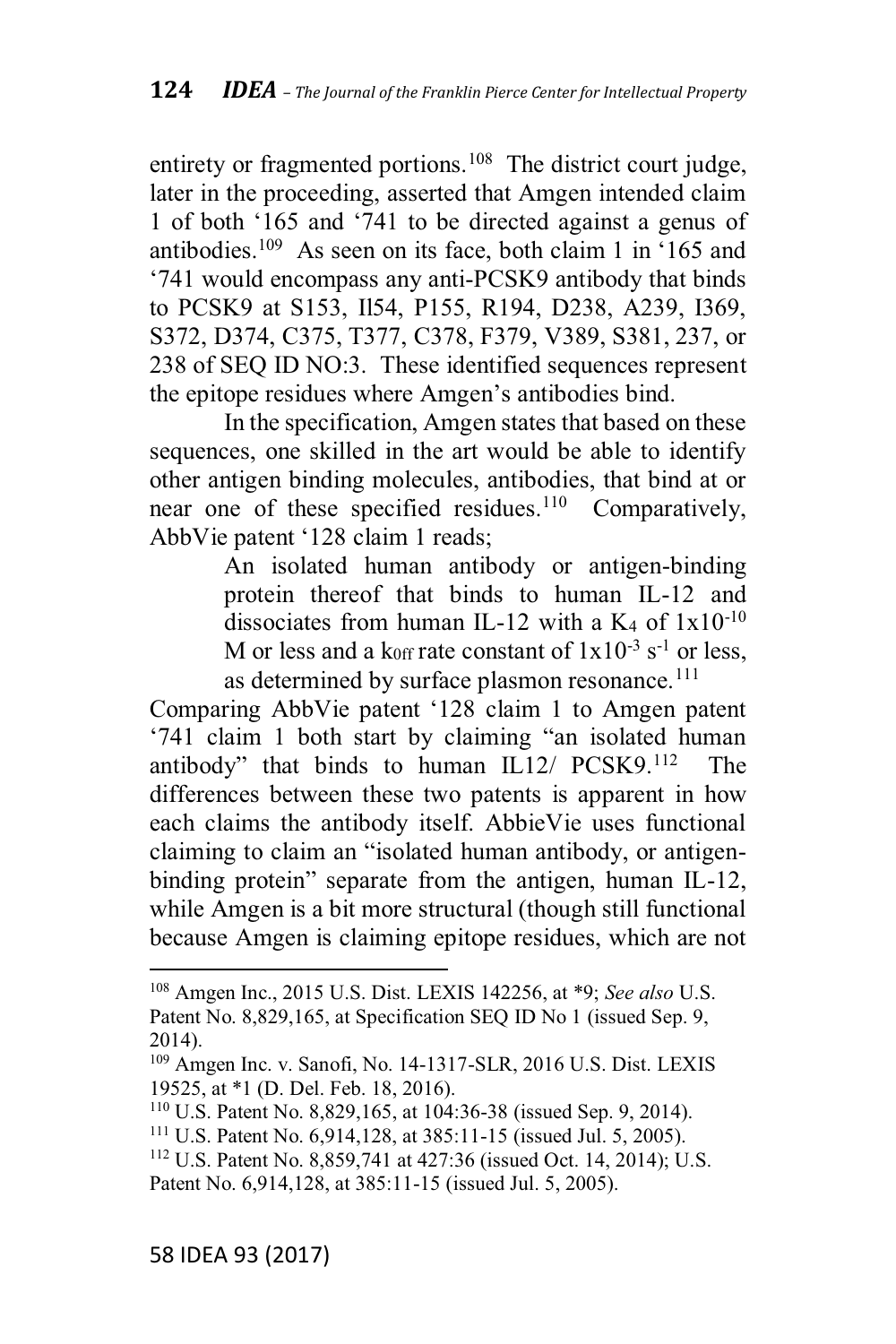entirety or fragmented portions.<sup>108</sup> The district court judge, later in the proceeding, asserted that Amgen intended claim 1 of both  $165$  and  $741$  to be directed against a genus of antibodies.<sup>109</sup> As seen on its face, both claim 1 in  $165$  and '741 would encompass any anti-PCSK9 antibody that binds to PCSK9 at S153, Il54, P155, R194, D238, A239, I369, S372, D374, C375, T377, C378, F379, V389, S381, 237, or 238 of SEQ ID NO:3. These identified sequences represent the epitope residues where Amgen's antibodies bind.

In the specification, Amgen states that based on these sequences, one skilled in the art would be able to identify other antigen binding molecules, antibodies, that bind at or near one of these specified residues.<sup>110</sup> Comparatively, AbbVie patent '128 claim 1 reads;

> An isolated human antibody or antigen-binding protein thereof that binds to human IL-12 and dissociates from human IL-12 with a K<sub>4</sub> of  $1x10^{-10}$ M or less and a koff rate constant of  $1x10^{-3}$  s<sup>-1</sup> or less, as determined by surface plasmon resonance.<sup>111</sup>

Comparing AbbVie patent '128 claim 1 to Amgen patent '741 claim 1 both start by claiming "an isolated human antibody" that binds to human  $IL12/$   $PCSK9.112$  The differences between these two patents is apparent in how each claims the antibody itself. AbbieVie uses functional claiming to claim an "isolated human antibody, or antigenbinding protein" separate from the antigen, human IL-12, while Amgen is a bit more structural (though still functional because Amgen is claiming epitope residues, which are not

<sup>108</sup> Amgen Inc., 2015 U.S. Dist. LEXIS 142256, at \*9; *See also* U.S. Patent No. 8,829,165, at Specification SEQ ID No 1 (issued Sep. 9, 2014).

<sup>109</sup> Amgen Inc. v. Sanofi, No. 14-1317-SLR, 2016 U.S. Dist. LEXIS 19525, at \*1 (D. Del. Feb. 18, 2016).

<sup>110</sup> U.S. Patent No. 8,829,165, at 104:36-38 (issued Sep. 9, 2014).

<sup>111</sup> U.S. Patent No. 6,914,128, at 385:11-15 (issued Jul. 5, 2005).

<sup>112</sup> U.S. Patent No. 8,859,741 at 427:36 (issued Oct. 14, 2014); U.S. Patent No. 6,914,128, at 385:11-15 (issued Jul. 5, 2005).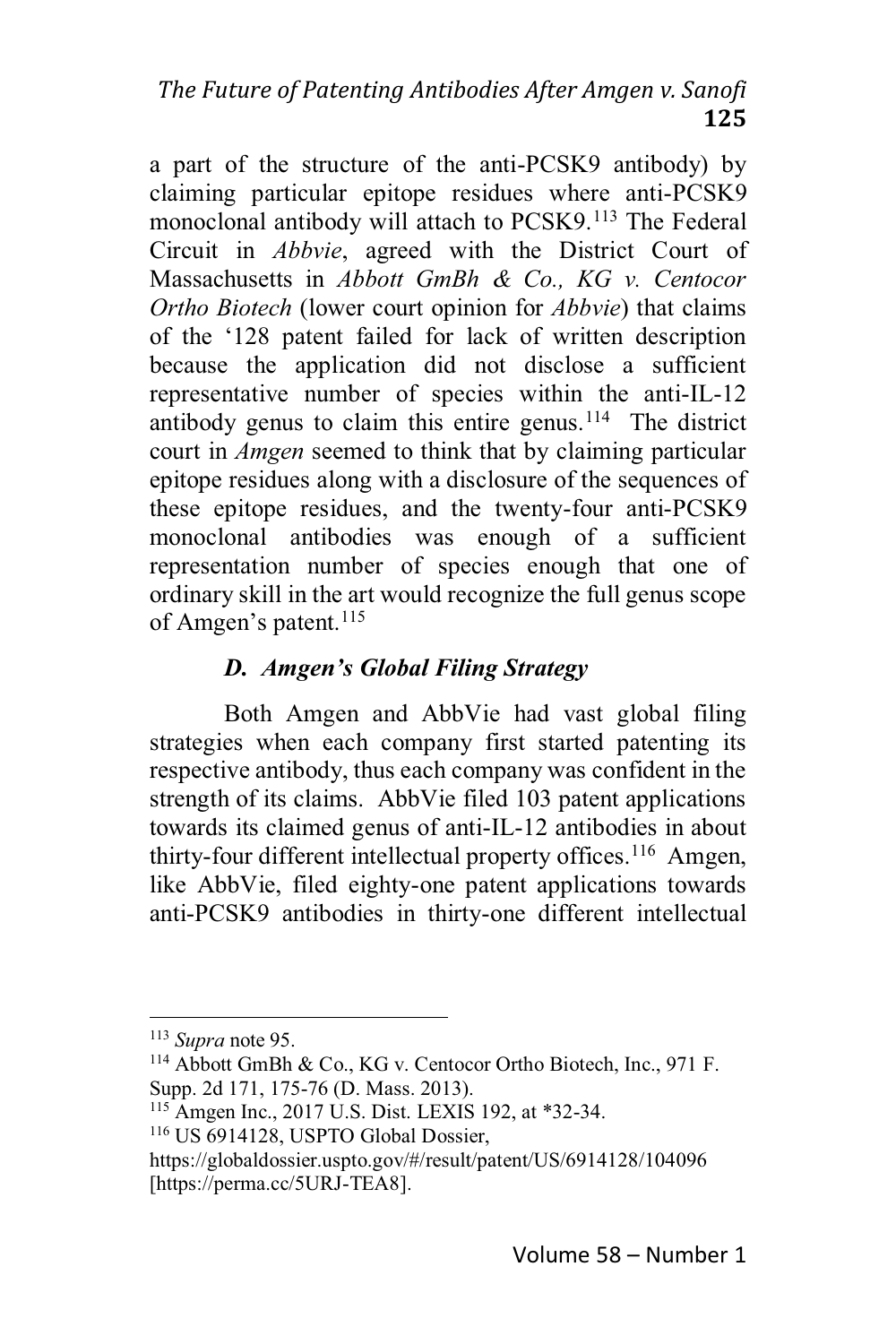a part of the structure of the anti-PCSK9 antibody) by claiming particular epitope residues where anti-PCSK9 monoclonal antibody will attach to PCSK9.<sup>113</sup> The Federal Circuit in *Abbvie*, agreed with the District Court of Massachusetts in *Abbott GmBh & Co., KG v. Centocor Ortho Biotech* (lower court opinion for *Abbvie*) that claims of the '128 patent failed for lack of written description because the application did not disclose a sufficient representative number of species within the anti-IL-12 antibody genus to claim this entire genus.<sup>114</sup> The district court in *Amgen* seemed to think that by claiming particular epitope residues along with a disclosure of the sequences of these epitope residues, and the twenty-four anti-PCSK9 monoclonal antibodies was enough of a sufficient representation number of species enough that one of ordinary skill in the art would recognize the full genus scope of Amgen's patent.  $^{115}$ 

## *D. Amgen's Global Filing Strategy*

Both Amgen and AbbVie had vast global filing strategies when each company first started patenting its respective antibody, thus each company was confident in the strength of its claims. AbbVie filed 103 patent applications towards its claimed genus of anti-IL-12 antibodies in about thirty-four different intellectual property offices.<sup>116</sup> Amgen, like AbbVie, filed eighty-one patent applications towards anti-PCSK9 antibodies in thirty-one different intellectual

<sup>113</sup> *Supra* note 95.

<sup>114</sup> Abbott GmBh & Co., KG v. Centocor Ortho Biotech, Inc., 971 F. Supp. 2d 171, 175-76 (D. Mass. 2013).

<sup>115</sup> Amgen Inc., 2017 U.S. Dist. LEXIS 192, at \*32-34.

<sup>116</sup> US 6914128, USPTO Global Dossier,

https://globaldossier.uspto.gov/#/result/patent/US/6914128/104096 [https://perma.cc/5URJ-TEA8].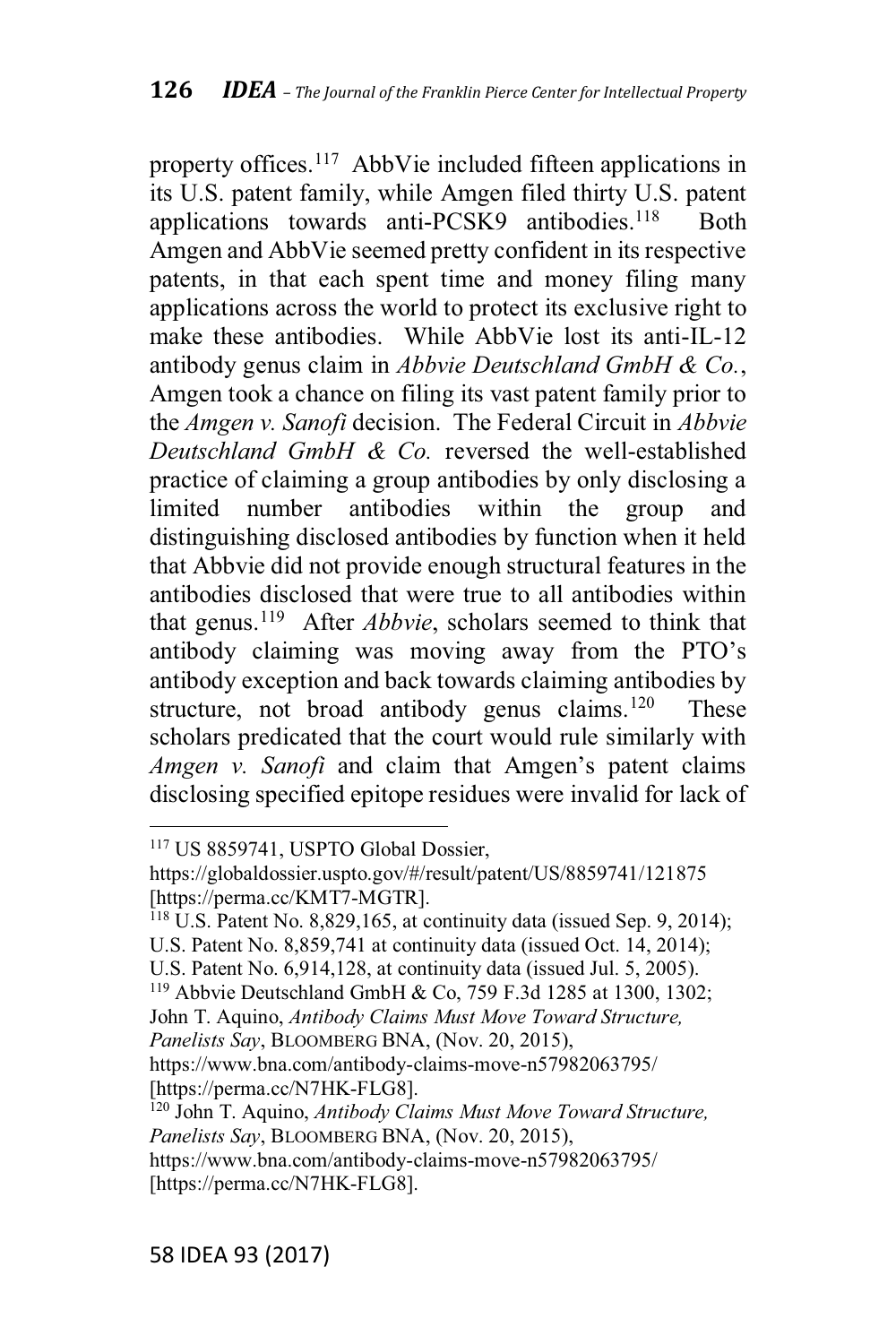property offices.<sup>117</sup> AbbVie included fifteen applications in its U.S. patent family, while Amgen filed thirty U.S. patent applications towards anti-PCSK9 antibodies.<sup>118</sup> Both Amgen and AbbVie seemed pretty confident in its respective patents, in that each spent time and money filing many applications across the world to protect its exclusive right to make these antibodies. While AbbVie lost its anti-IL-12 antibody genus claim in *Abbvie Deutschland GmbH & Co.*, Amgen took a chance on filing its vast patent family prior to the *Amgen v. Sanofi* decision. The Federal Circuit in *Abbvie Deutschland GmbH & Co.* reversed the well-established practice of claiming a group antibodies by only disclosing a limited number antibodies within the group and distinguishing disclosed antibodies by function when it held that Abbvie did not provide enough structural features in the antibodies disclosed that were true to all antibodies within that genus.119 After *Abbvie*, scholars seemed to think that antibody claiming was moving away from the PTO's antibody exception and back towards claiming antibodies by structure, not broad antibody genus claims.<sup>120</sup> These scholars predicated that the court would rule similarly with *Amgen v. Sanofi* and claim that Amgen's patent claims disclosing specified epitope residues were invalid for lack of

<sup>117</sup> US 8859741, USPTO Global Dossier,

https://globaldossier.uspto.gov/#/result/patent/US/8859741/121875 [https://perma.cc/KMT7-MGTR].

<sup>118</sup> U.S. Patent No. 8,829,165, at continuity data (issued Sep. 9, 2014); U.S. Patent No. 8,859,741 at continuity data (issued Oct. 14, 2014);

U.S. Patent No. 6,914,128, at continuity data (issued Jul. 5, 2005).

<sup>119</sup> Abbvie Deutschland GmbH & Co, 759 F.3d 1285 at 1300, 1302; John T. Aquino, *Antibody Claims Must Move Toward Structure,*

*Panelists Say*, BLOOMBERG BNA, (Nov. 20, 2015),

https://www.bna.com/antibody-claims-move-n57982063795/ [https://perma.cc/N7HK-FLG8].

<sup>120</sup> John T. Aquino, *Antibody Claims Must Move Toward Structure, Panelists Say*, BLOOMBERG BNA, (Nov. 20, 2015),

https://www.bna.com/antibody-claims-move-n57982063795/ [https://perma.cc/N7HK-FLG8].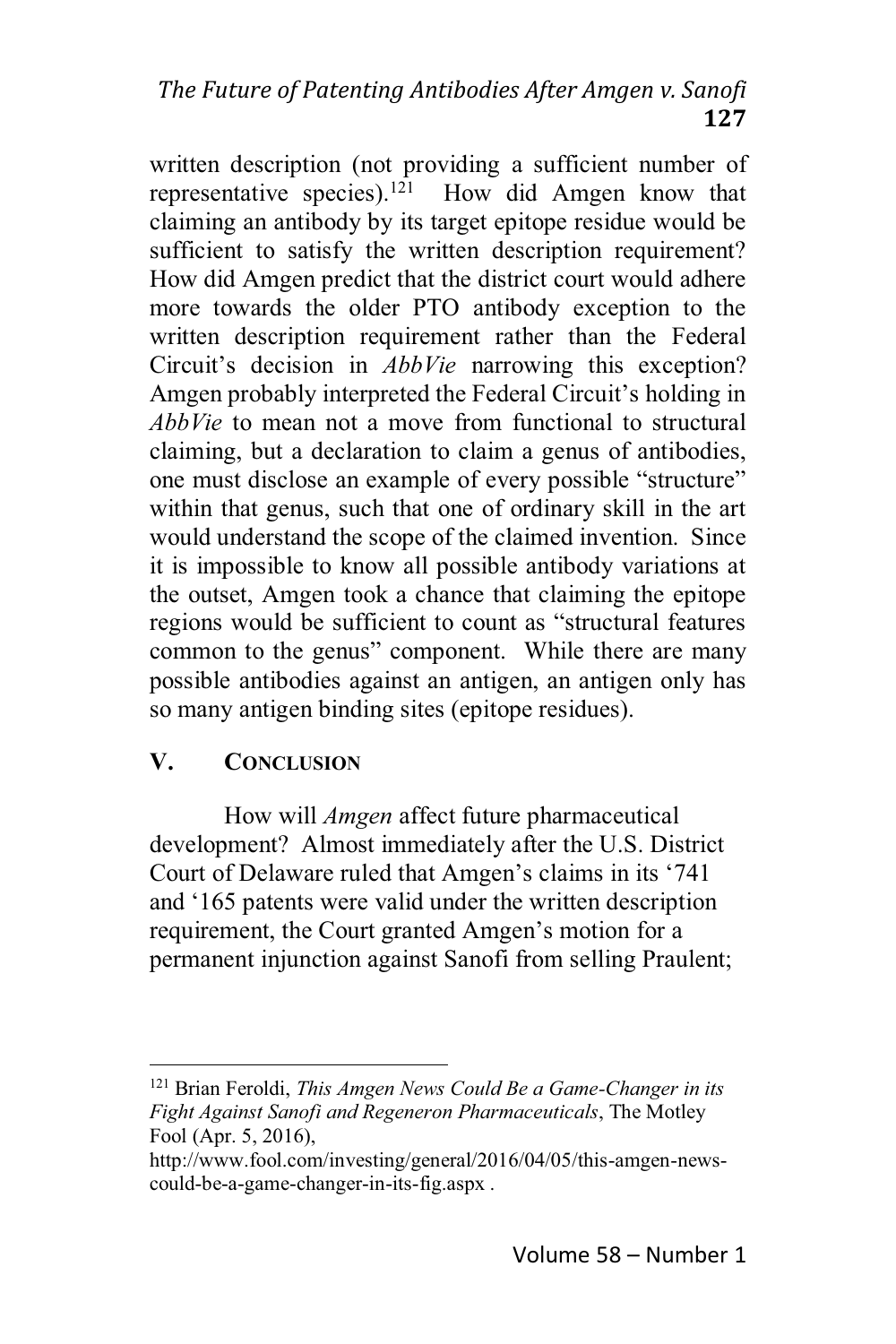# The Future of Patenting Antibodies After Amgen v. Sanofi 127

written description (not providing a sufficient number of representative species).  $121$ How did Amgen know that claiming an antibody by its target epitope residue would be sufficient to satisfy the written description requirement? How did Amgen predict that the district court would adhere more towards the older PTO antibody exception to the written description requirement rather than the Federal Circuit's decision in *AbbVie* narrowing this exception? Amgen probably interpreted the Federal Circuit's holding in *AbbVie* to mean not a move from functional to structural claiming, but a declaration to claim a genus of antibodies. one must disclose an example of every possible "structure" within that genus, such that one of ordinary skill in the art would understand the scope of the claimed invention. Since it is impossible to know all possible antibody variations at the outset, Amgen took a chance that claiming the epitope regions would be sufficient to count as "structural features" common to the genus" component. While there are many possible antibodies against an antigen, an antigen only has so many antigen binding sites (epitope residues).

#### V. **CONCLUSION**

How will *Amgen* affect future pharmaceutical development? Almost immediately after the U.S. District Court of Delaware ruled that Amgen's claims in its '741 and '165 patents were valid under the written description requirement, the Court granted Amgen's motion for a permanent injunction against Sanofi from selling Praulent;

<sup>&</sup>lt;sup>121</sup> Brian Feroldi, *This Amgen News Could Be a Game-Changer in its* Fight Against Sanofi and Regeneron Pharmaceuticals, The Motley Fool (Apr. 5, 2016),

http://www.fool.com/investing/general/2016/04/05/this-amgen-newscould-be-a-game-changer-in-its-fig.aspx.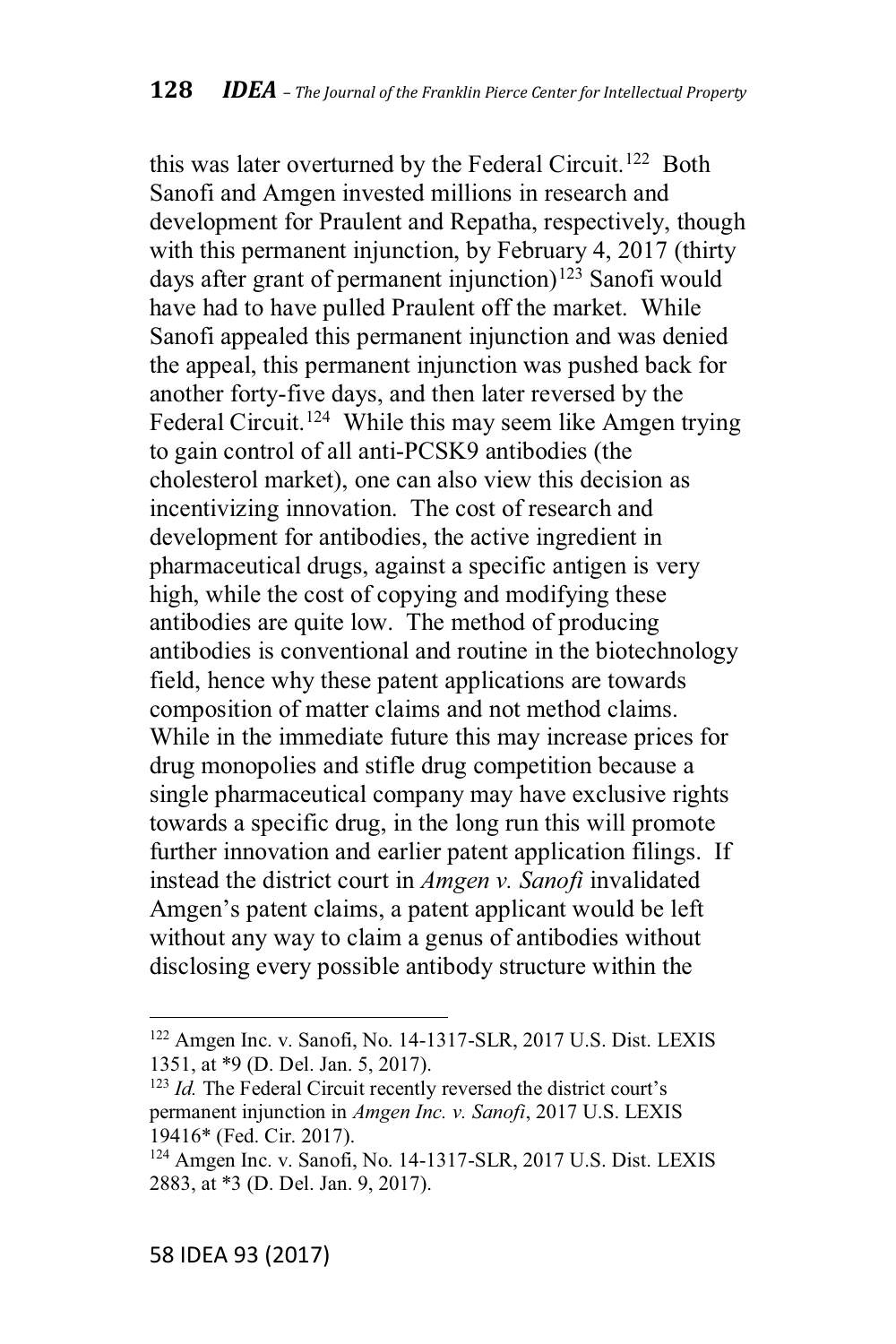this was later overturned by the Federal Circuit.<sup>122</sup> Both Sanofi and Amgen invested millions in research and development for Praulent and Repatha, respectively, though with this permanent injunction, by February 4, 2017 (thirty days after grant of permanent injunction)<sup>123</sup> Sanofi would have had to have pulled Praulent off the market. While Sanofi appealed this permanent injunction and was denied the appeal, this permanent injunction was pushed back for another forty-five days, and then later reversed by the Federal Circuit.<sup>124</sup> While this may seem like Amgen trying to gain control of all anti-PCSK9 antibodies (the cholesterol market), one can also view this decision as incentivizing innovation. The cost of research and development for antibodies, the active ingredient in pharmaceutical drugs, against a specific antigen is very high, while the cost of copying and modifying these antibodies are quite low. The method of producing antibodies is conventional and routine in the biotechnology field, hence why these patent applications are towards composition of matter claims and not method claims. While in the immediate future this may increase prices for drug monopolies and stifle drug competition because a single pharmaceutical company may have exclusive rights towards a specific drug, in the long run this will promote further innovation and earlier patent application filings. If instead the district court in *Amgen v. Sanofi* invalidated Amgen's patent claims, a patent applicant would be left without any way to claim a genus of antibodies without disclosing every possible antibody structure within the

<sup>122</sup> Amgen Inc. v. Sanofi, No. 14-1317-SLR, 2017 U.S. Dist. LEXIS 1351, at \*9 (D. Del. Jan. 5, 2017).

<sup>&</sup>lt;sup>123</sup> *Id.* The Federal Circuit recently reversed the district court's permanent injunction in *Amgen Inc. v. Sanofi*, 2017 U.S. LEXIS 19416\* (Fed. Cir. 2017).

<sup>124</sup> Amgen Inc. v. Sanofi, No. 14-1317-SLR, 2017 U.S. Dist. LEXIS 2883, at \*3 (D. Del. Jan. 9, 2017).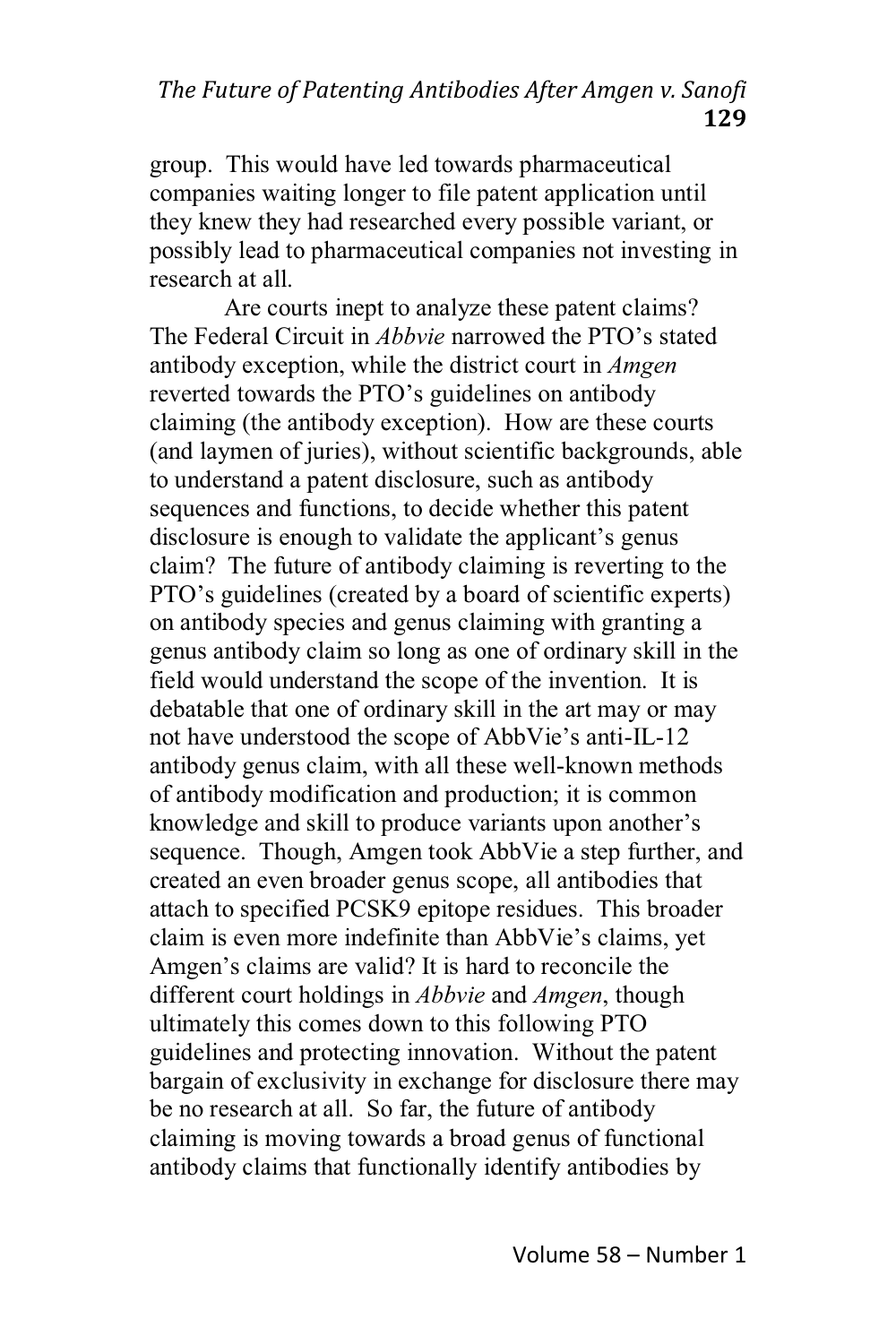The Future of Patenting Antibodies After Amgen v. Sanofi 129

group. This would have led towards pharmaceutical companies waiting longer to file patent application until they knew they had researched every possible variant, or possibly lead to pharmaceutical companies not investing in research at all.

Are courts inept to analyze these patent claims? The Federal Circuit in *Abbyie* narrowed the PTO's stated antibody exception, while the district court in *Amgen* reverted towards the PTO's guidelines on antibody claiming (the antibody exception). How are these courts (and laymen of juries), without scientific backgrounds, able to understand a patent disclosure, such as antibody sequences and functions, to decide whether this patent disclosure is enough to validate the applicant's genus claim? The future of antibody claiming is reverting to the PTO's guidelines (created by a board of scientific experts) on antibody species and genus claiming with granting a genus antibody claim so long as one of ordinary skill in the field would understand the scope of the invention. It is debatable that one of ordinary skill in the art may or may not have understood the scope of AbbVie's anti-IL-12 antibody genus claim, with all these well-known methods of antibody modification and production; it is common knowledge and skill to produce variants upon another's sequence. Though, Amgen took AbbVie a step further, and created an even broader genus scope, all antibodies that attach to specified PCSK9 epitope residues. This broader claim is even more indefinite than AbbVie's claims, yet Amgen's claims are valid? It is hard to reconcile the different court holdings in *Abbyie* and *Amgen*, though ultimately this comes down to this following PTO guidelines and protecting innovation. Without the patent bargain of exclusivity in exchange for disclosure there may be no research at all. So far, the future of antibody claiming is moving towards a broad genus of functional antibody claims that functionally identify antibodies by